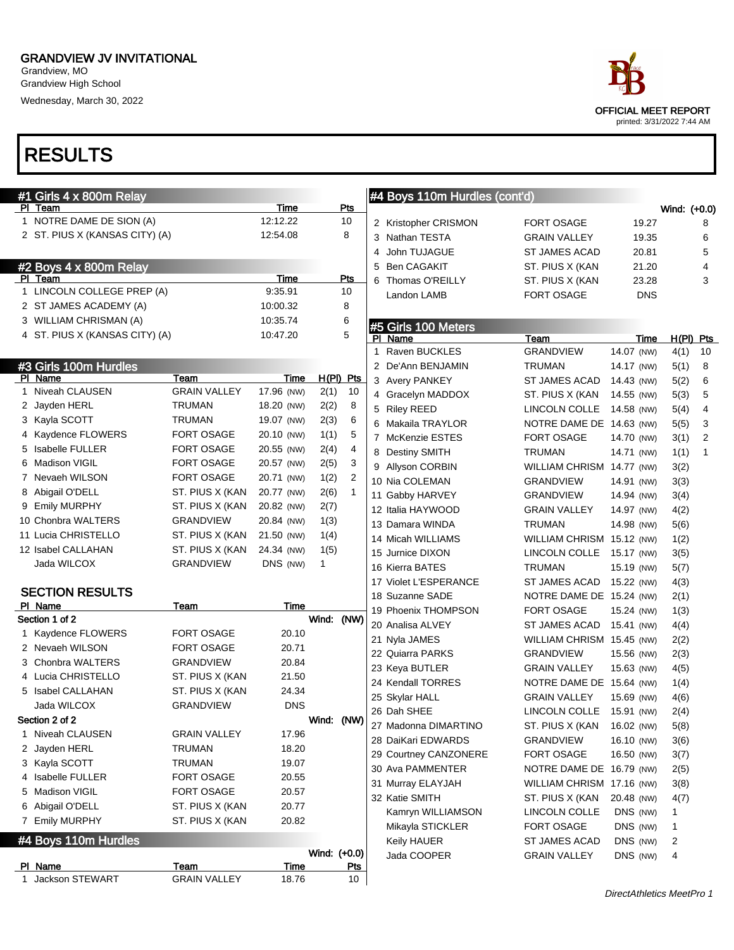Grandview, MO Grandview High School

Wednesday, March 30, 2022



| #1 Girls 4 x 800m Relay          |                                    |             |              |                |   | #4 Boys 110m Hurdles (cont'd)         |                                                      |            |              |                     |
|----------------------------------|------------------------------------|-------------|--------------|----------------|---|---------------------------------------|------------------------------------------------------|------------|--------------|---------------------|
| PI Team                          |                                    | Time        |              | Pts            |   |                                       |                                                      |            | Wind: (+0.0) |                     |
| 1 NOTRE DAME DE SION (A)         |                                    | 12:12.22    |              | 10             |   | 2 Kristopher CRISMON                  | FORT OSAGE                                           | 19.27      |              | 8                   |
| 2 ST. PIUS X (KANSAS CITY) (A)   |                                    | 12:54.08    |              | 8              |   | 3 Nathan TESTA                        | GRAIN VALLEY                                         | 19.35      |              | 6                   |
|                                  |                                    |             |              |                | 4 | John TUJAGUE                          | <b>ST JAMES ACAD</b>                                 | 20.81      |              | 5                   |
| #2 Boys 4 x 800m Relay           |                                    |             |              |                | 5 | <b>Ben CAGAKIT</b>                    | ST. PIUS X (KAN                                      | 21.20      |              | 4                   |
| PI Team                          |                                    | Time        |              | <b>Pts</b>     | 6 | Thomas O'REILLY                       | ST. PIUS X (KAN                                      | 23.28      |              | 3                   |
| 1 LINCOLN COLLEGE PREP (A)       |                                    | 9:35.91     |              | 10             |   | Landon LAMB                           | FORT OSAGE                                           | <b>DNS</b> |              |                     |
| 2 ST JAMES ACADEMY (A)           |                                    | 10:00.32    |              | 8              |   |                                       |                                                      |            |              |                     |
| 3 WILLIAM CHRISMAN (A)           |                                    | 10:35.74    |              | 6<br>5         |   | #5 Girls 100 Meters                   |                                                      |            |              |                     |
| 4 ST. PIUS X (KANSAS CITY) (A)   |                                    | 10:47.20    |              |                |   | PI Name                               | Team                                                 | Time       | $H(PI)$ Pts  |                     |
|                                  |                                    |             |              |                | 1 | Raven BUCKLES                         | <b>GRANDVIEW</b>                                     | 14.07 (NW) | 4(1)         | 10                  |
| #3 Girls 100m Hurdles<br>PI Name | Team                               | Time        |              | H(PI) Pts      |   | 2 De'Ann BENJAMIN                     | TRUMAN                                               | 14.17 (NW) | 5(1)         | 8                   |
| 1 Niveah CLAUSEN                 | <b>GRAIN VALLEY</b>                | 17.96 (NW)  | 2(1)         | 10             |   | 3 Avery PANKEY                        | ST JAMES ACAD                                        | 14.43 (NW) | 5(2)         | 6                   |
| 2 Jayden HERL                    | TRUMAN                             | 18.20 (NW)  | 2(2)         | 8              |   | 4 Gracelyn MADDOX                     | ST. PIUS X (KAN                                      | 14.55 (NW) | 5(3)         | 5                   |
| 3 Kayla SCOTT                    | TRUMAN                             | 19.07 (NW)  | 2(3)         | 6              |   | 5 Riley REED                          | LINCOLN COLLE 14.58 (NW)<br>NOTRE DAME DE 14.63 (NW) |            | 5(4)         | 4                   |
| 4 Kaydence FLOWERS               | FORT OSAGE                         | 20.10 (NW)  | 1(1)         | 5              |   | 6 Makaila TRAYLOR<br>7 McKenzie ESTES | FORT OSAGE                                           |            | 5(5)         | 3<br>$\overline{2}$ |
| 5 Isabelle FULLER                | FORT OSAGE                         | 20.55 (NW)  | 2(4)         | 4              |   | 8 Destiny SMITH                       | TRUMAN                                               | 14.70 (NW) | 3(1)         | $\mathbf{1}$        |
| 6 Madison VIGIL                  | <b>FORT OSAGE</b>                  | 20.57 (NW)  | 2(5)         | 3              |   | 9 Allyson CORBIN                      | WILLIAM CHRISM 14.77 (NW)                            | 14.71 (NW) | 1(1)<br>3(2) |                     |
| 7 Nevaeh WILSON                  | <b>FORT OSAGE</b>                  | 20.71 (NW)  | 1(2)         | $\overline{2}$ |   | 10 Nia COLEMAN                        | <b>GRANDVIEW</b>                                     | 14.91 (NW) | 3(3)         |                     |
| 8 Abigail O'DELL                 | ST. PIUS X (KAN                    | 20.77 (NW)  | 2(6)         | $\mathbf{1}$   |   | 11 Gabby HARVEY                       | GRANDVIEW                                            | 14.94 (NW) | 3(4)         |                     |
| 9 Emily MURPHY                   | ST. PIUS X (KAN                    | 20.82 (NW)  | 2(7)         |                |   | 12 Italia HAYWOOD                     | <b>GRAIN VALLEY</b>                                  | 14.97 (NW) | 4(2)         |                     |
| 10 Chonbra WALTERS               | <b>GRANDVIEW</b>                   | 20.84 (NW)  | 1(3)         |                |   | 13 Damara WINDA                       | TRUMAN                                               | 14.98 (NW) | 5(6)         |                     |
| 11 Lucia CHRISTELLO              | ST. PIUS X (KAN                    | 21.50 (NW)  | 1(4)         |                |   | 14 Micah WILLIAMS                     | WILLIAM CHRISM 15.12 (NW)                            |            | 1(2)         |                     |
| 12 Isabel CALLAHAN               | ST. PIUS X (KAN                    | 24.34 (NW)  | 1(5)         |                |   | 15 Jurnice DIXON                      | LINCOLN COLLE 15.17 (NW)                             |            | 3(5)         |                     |
| Jada WILCOX                      | GRANDVIEW                          | DNS (NW)    | 1.           |                |   | 16 Kierra BATES                       | TRUMAN                                               | 15.19 (NW) | 5(7)         |                     |
|                                  |                                    |             |              |                |   | 17 Violet L'ESPERANCE                 | ST JAMES ACAD 15.22 (NW)                             |            | 4(3)         |                     |
| <b>SECTION RESULTS</b>           |                                    |             |              |                |   | 18 Suzanne SADE                       | NOTRE DAME DE 15.24 (NW)                             |            | 2(1)         |                     |
| PI Name                          | Team                               | Time        |              |                |   | 19 Phoenix THOMPSON                   | FORT OSAGE                                           | 15.24 (NW) | 1(3)         |                     |
| Section 1 of 2                   |                                    |             | Wind: (NW)   |                |   | 20 Analisa ALVEY                      | ST JAMES ACAD 15.41 (NW)                             |            | 4(4)         |                     |
| 1 Kaydence FLOWERS               | <b>FORT OSAGE</b>                  | 20.10       |              |                |   | 21 Nyla JAMES                         | WILLIAM CHRISM 15.45 (NW)                            |            | 2(2)         |                     |
| 2 Nevaeh WILSON                  | <b>FORT OSAGE</b>                  | 20.71       |              |                |   | 22 Quiarra PARKS                      | <b>GRANDVIEW</b>                                     | 15.56 (NW) | 2(3)         |                     |
| 3 Chonbra WALTERS                | <b>GRANDVIEW</b>                   | 20.84       |              |                |   | 23 Keya BUTLER                        | <b>GRAIN VALLEY</b>                                  | 15.63 (NW) | 4(5)         |                     |
| 4 Lucia CHRISTELLO               | ST. PIUS X (KAN                    | 21.50       |              |                |   | 24 Kendall TORRES                     | NOTRE DAME DE 15.64 (NW)                             |            | 1(4)         |                     |
| 5 Isabel CALLAHAN                | ST. PIUS X (KAN                    | 24.34       |              |                |   | 25 Skylar HALL                        | <b>GRAIN VALLEY</b>                                  | 15.69 (NW) | 4(6)         |                     |
| Jada WILCOX                      | <b>GRANDVIEW</b>                   | <b>DNS</b>  |              |                |   | 26 Dah SHEE                           | LINCOLN COLLE 15.91 (NW)                             |            | 2(4)         |                     |
| Section 2 of 2                   |                                    |             | Wind:        | (NW)           |   | 27 Madonna DIMARTINO                  | ST. PIUS X (KAN 16.02 (NW)                           |            | 5(8)         |                     |
| 1 Niveah CLAUSEN                 | <b>GRAIN VALLEY</b>                | 17.96       |              |                |   | 28 DaiKari EDWARDS                    | GRANDVIEW                                            | 16.10 (NW) | 3(6)         |                     |
| 2 Jayden HERL                    | <b>TRUMAN</b>                      | 18.20       |              |                |   | 29 Courtney CANZONERE                 | FORT OSAGE                                           | 16.50 (NW) | 3(7)         |                     |
| 3 Kayla SCOTT                    | <b>TRUMAN</b>                      | 19.07       |              |                |   | 30 Ava PAMMENTER                      | NOTRE DAME DE 16.79 (NW)                             |            | 2(5)         |                     |
| 4 Isabelle FULLER                | <b>FORT OSAGE</b>                  | 20.55       |              |                |   | 31 Murray ELAYJAH                     | WILLIAM CHRISM 17.16 (NW)                            |            | 3(8)         |                     |
| 5 Madison VIGIL                  | FORT OSAGE                         | 20.57       |              |                |   | 32 Katie SMITH                        | ST. PIUS X (KAN                                      | 20.48 (NW) | 4(7)         |                     |
| 6 Abigail O'DELL                 | ST. PIUS X (KAN                    | 20.77       |              |                |   | Kamryn WILLIAMSON                     | LINCOLN COLLE                                        | DNS (NW)   | 1            |                     |
| 7 Emily MURPHY                   | ST. PIUS X (KAN                    | 20.82       |              |                |   | Mikayla STICKLER                      | FORT OSAGE                                           | DNS (NW)   | 1            |                     |
| #4 Boys 110m Hurdles             |                                    |             |              |                |   | Keily HAUER                           | ST JAMES ACAD                                        | DNS (NW)   | 2            |                     |
|                                  |                                    |             | Wind: (+0.0) |                |   | Jada COOPER                           | <b>GRAIN VALLEY</b>                                  | DNS (NW)   | 4            |                     |
| PI Name<br>1 Jackson STEWART     | <b>Team</b><br><b>GRAIN VALLEY</b> | <b>Time</b> |              | <u>Pts</u>     |   |                                       |                                                      |            |              |                     |
|                                  |                                    | 18.76       |              | 10             |   |                                       |                                                      |            |              |                     |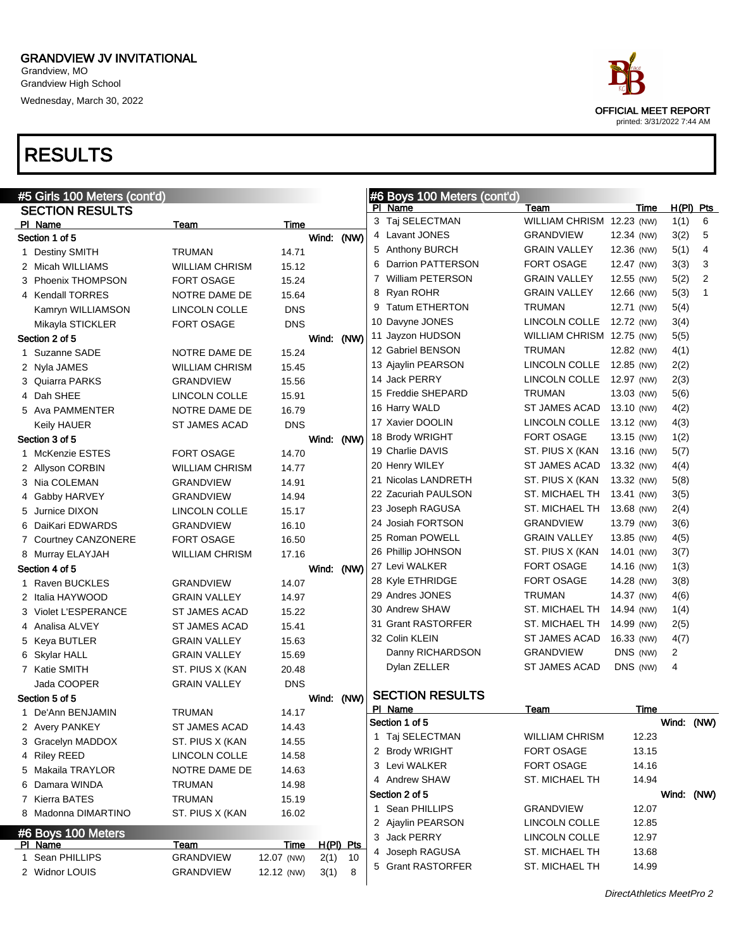Grandview, MO Grandview High School Wednesday, March 30, 2022

### RESULTS

| #5 Girls 100 Meters (cont'd)      |                                 |                           |                           |   | #6 Boys 100 Meters (cont'd) |                           |            |                |           |
|-----------------------------------|---------------------------------|---------------------------|---------------------------|---|-----------------------------|---------------------------|------------|----------------|-----------|
| <b>SECTION RESULTS</b>            |                                 |                           |                           |   | PI Name                     | Team                      | Time       |                | H(PI) Pts |
| PI Name                           | Team                            | Time                      |                           |   | 3 Taj SELECTMAN             | WILLIAM CHRISM 12.23 (NW) |            | 1(1)           | 6         |
| Section 1 of 5                    |                                 |                           | Wind: (NW)                |   | 4 Lavant JONES              | <b>GRANDVIEW</b>          | 12.34 (NW) | 3(2)           | 5         |
| 1 Destiny SMITH                   | TRUMAN                          | 14.71                     |                           |   | 5 Anthony BURCH             | <b>GRAIN VALLEY</b>       | 12.36 (NW) | 5(1)           | 4         |
| 2 Micah WILLIAMS                  | <b>WILLIAM CHRISM</b>           | 15.12                     |                           | 6 | <b>Darrion PATTERSON</b>    | <b>FORT OSAGE</b>         | 12.47 (NW) | 3(3)           | 3         |
| 3 Phoenix THOMPSON                | <b>FORT OSAGE</b>               | 15.24                     |                           | 7 | <b>William PETERSON</b>     | <b>GRAIN VALLEY</b>       | 12.55 (NW) | 5(2)           | 2         |
| 4 Kendall TORRES                  | NOTRE DAME DE                   | 15.64                     |                           | 8 | Ryan ROHR                   | <b>GRAIN VALLEY</b>       | 12.66 (NW) | 5(3)           | 1         |
| Kamryn WILLIAMSON                 | <b>LINCOLN COLLE</b>            | <b>DNS</b>                |                           |   | 9 Tatum ETHERTON            | <b>TRUMAN</b>             | 12.71 (NW) | 5(4)           |           |
| Mikayla STICKLER                  | FORT OSAGE                      | <b>DNS</b>                |                           |   | 10 Davyne JONES             | LINCOLN COLLE             | 12.72 (NW) | 3(4)           |           |
| Section 2 of 5                    |                                 |                           | Wind: (NW)                |   | 11 Jayzon HUDSON            | WILLIAM CHRISM 12.75 (NW) |            | 5(5)           |           |
| 1 Suzanne SADE                    | NOTRE DAME DE                   | 15.24                     |                           |   | 12 Gabriel BENSON           | <b>TRUMAN</b>             | 12.82 (NW) | 4(1)           |           |
| 2 Nyla JAMES                      | <b>WILLIAM CHRISM</b>           | 15.45                     |                           |   | 13 Ajaylin PEARSON          | LINCOLN COLLE             | 12.85 (NW) | 2(2)           |           |
| 3 Quiarra PARKS                   | GRANDVIEW                       | 15.56                     |                           |   | 14 Jack PERRY               | LINCOLN COLLE             | 12.97 (NW) | 2(3)           |           |
| 4 Dah SHEE                        | LINCOLN COLLE                   | 15.91                     |                           |   | 15 Freddie SHEPARD          | <b>TRUMAN</b>             | 13.03 (NW) | 5(6)           |           |
| 5 Ava PAMMENTER                   | NOTRE DAME DE                   | 16.79                     |                           |   | 16 Harry WALD               | ST JAMES ACAD             | 13.10 (NW) | 4(2)           |           |
| Keily HAUER                       | <b>ST JAMES ACAD</b>            | <b>DNS</b>                |                           |   | 17 Xavier DOOLIN            | LINCOLN COLLE             | 13.12 (NW) | 4(3)           |           |
| Section 3 of 5                    |                                 |                           | Wind: (NW)                |   | 18 Brody WRIGHT             | <b>FORT OSAGE</b>         | 13.15 (NW) | 1(2)           |           |
| 1 McKenzie ESTES                  | <b>FORT OSAGE</b>               | 14.70                     |                           |   | 19 Charlie DAVIS            | ST. PIUS X (KAN           | 13.16 (NW) | 5(7)           |           |
| 2 Allyson CORBIN                  | <b>WILLIAM CHRISM</b>           | 14.77                     |                           |   | 20 Henry WILEY              | ST JAMES ACAD             | 13.32 (NW) | 4(4)           |           |
| 3 Nia COLEMAN                     | GRANDVIEW                       | 14.91                     |                           |   | 21 Nicolas LANDRETH         | ST. PIUS X (KAN           | 13.32 (NW) | 5(8)           |           |
| 4 Gabby HARVEY                    | GRANDVIEW                       | 14.94                     |                           |   | 22 Zacuriah PAULSON         | ST. MICHAEL TH            | 13.41 (NW) | 3(5)           |           |
| 5 Jurnice DIXON                   | <b>LINCOLN COLLE</b>            | 15.17                     |                           |   | 23 Joseph RAGUSA            | ST. MICHAEL TH            | 13.68 (NW) | 2(4)           |           |
| 6 DaiKari EDWARDS                 | <b>GRANDVIEW</b>                | 16.10                     |                           |   | 24 Josiah FORTSON           | <b>GRANDVIEW</b>          | 13.79 (NW) | 3(6)           |           |
| 7 Courtney CANZONERE              | <b>FORT OSAGE</b>               | 16.50                     |                           |   | 25 Roman POWELL             | <b>GRAIN VALLEY</b>       | 13.85 (NW) | 4(5)           |           |
| 8 Murray ELAYJAH                  | <b>WILLIAM CHRISM</b>           | 17.16                     |                           |   | 26 Phillip JOHNSON          | ST. PIUS X (KAN           | 14.01 (NW) | 3(7)           |           |
| Section 4 of 5                    |                                 |                           | Wind: (NW)                |   | 27 Levi WALKER              | <b>FORT OSAGE</b>         | 14.16 (NW) | 1(3)           |           |
| 1 Raven BUCKLES                   | GRANDVIEW                       | 14.07                     |                           |   | 28 Kyle ETHRIDGE            | <b>FORT OSAGE</b>         | 14.28 (NW) | 3(8)           |           |
| 2 Italia HAYWOOD                  | <b>GRAIN VALLEY</b>             | 14.97                     |                           |   | 29 Andres JONES             | <b>TRUMAN</b>             | 14.37 (NW) | 4(6)           |           |
| 3 Violet L'ESPERANCE              | ST JAMES ACAD                   | 15.22                     |                           |   | 30 Andrew SHAW              | ST. MICHAEL TH            | 14.94 (NW) | 1(4)           |           |
| 4 Analisa ALVEY                   | <b>ST JAMES ACAD</b>            | 15.41                     |                           |   | 31 Grant RASTORFER          | ST. MICHAEL TH            | 14.99 (NW) | 2(5)           |           |
| 5 Keya BUTLER                     | <b>GRAIN VALLEY</b>             | 15.63                     |                           |   | 32 Colin KLEIN              | <b>ST JAMES ACAD</b>      | 16.33 (NW) | 4(7)           |           |
| 6 Skylar HALL                     | <b>GRAIN VALLEY</b>             | 15.69                     |                           |   | Danny RICHARDSON            | <b>GRANDVIEW</b>          | DNS (NW)   | $\overline{2}$ |           |
| 7 Katie SMITH                     | ST. PIUS X (KAN                 | 20.48                     |                           |   | Dylan ZELLER                | <b>ST JAMES ACAD</b>      | DNS (NW)   | 4              |           |
| Jada COOPER                       | <b>GRAIN VALLEY</b>             | <b>DNS</b>                |                           |   |                             |                           |            |                |           |
| Section 5 of 5                    |                                 |                           | Wind: (NW)                |   | <b>SECTION RESULTS</b>      |                           |            |                |           |
| 1 De'Ann BENJAMIN                 | TRUMAN                          | 14.17                     |                           |   | PI Name                     | Team                      | Time       |                |           |
| 2 Avery PANKEY                    | ST JAMES ACAD                   | 14.43                     |                           |   | Section 1 of 5              |                           |            | Wind: (NW)     |           |
| 3 Gracelyn MADDOX                 | ST. PIUS X (KAN                 | 14.55                     |                           |   | 1 Taj SELECTMAN             | <b>WILLIAM CHRISM</b>     | 12.23      |                |           |
| 4 Riley REED                      | LINCOLN COLLE                   | 14.58                     |                           |   | 2 Brody WRIGHT              | FORT OSAGE                | 13.15      |                |           |
| 5 Makaila TRAYLOR                 | NOTRE DAME DE                   | 14.63                     |                           |   | 3 Levi WALKER               | FORT OSAGE                | 14.16      |                |           |
| 6 Damara WINDA                    | TRUMAN                          | 14.98                     |                           |   | 4 Andrew SHAW               | ST. MICHAEL TH            | 14.94      |                |           |
| 7 Kierra BATES                    | <b>TRUMAN</b>                   | 15.19                     |                           |   | Section 2 of 5              |                           |            | Wind:          | (NW)      |
| 8 Madonna DIMARTINO               | ST. PIUS X (KAN                 | 16.02                     |                           |   | 1 Sean PHILLIPS             | <b>GRANDVIEW</b>          | 12.07      |                |           |
|                                   |                                 |                           |                           |   | 2 Ajaylin PEARSON           | LINCOLN COLLE             | 12.85      |                |           |
| #6 Boys 100 Meters                |                                 |                           |                           |   | 3 Jack PERRY                | LINCOLN COLLE             | 12.97      |                |           |
| <u>PI Name</u><br>1 Sean PHILLIPS | <u>Team</u><br><b>GRANDVIEW</b> | <b>Time</b><br>12.07 (NW) | $H(PI)$ Pts<br>10<br>2(1) | 4 | Joseph RAGUSA               | ST. MICHAEL TH            | 13.68      |                |           |
| 2 Widnor LOUIS                    | <b>GRANDVIEW</b>                | 12.12 (NW)                | 8                         |   | 5 Grant RASTORFER           | ST. MICHAEL TH            | 14.99      |                |           |
|                                   |                                 |                           | 3(1)                      |   |                             |                           |            |                |           |

# OFFICIAL MEET REPORT

printed: 3/31/2022 7:44 AM

DirectAthletics MeetPro 2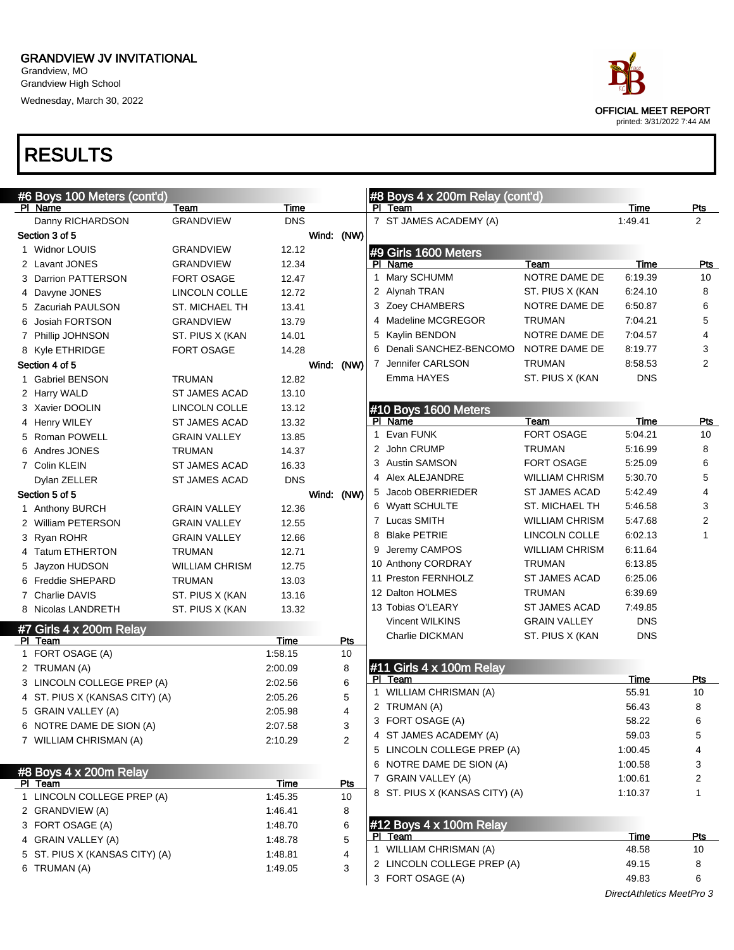Grandview, MO Grandview High School Wednesday, March 30, 2022

### RESULTS

| race                                                      |
|-----------------------------------------------------------|
| <b>OFFICIAL MEET REPORT</b><br>printed: 3/31/2022 7:44 AM |

| #6 Boys 100 Meters (cont'd)        |                          |                    |            | #8 Boys 4 x 200m Relay (cont'd)   |                       |                 |                 |
|------------------------------------|--------------------------|--------------------|------------|-----------------------------------|-----------------------|-----------------|-----------------|
| PI Name<br>Danny RICHARDSON        | Team<br><b>GRANDVIEW</b> | Time<br><b>DNS</b> |            | PI Team<br>7 ST JAMES ACADEMY (A) |                       | Time<br>1:49.41 | <u>Pts</u><br>2 |
| Section 3 of 5                     |                          |                    | Wind: (NW) |                                   |                       |                 |                 |
| 1 Widnor LOUIS                     | <b>GRANDVIEW</b>         | 12.12              |            | #9 Girls 1600 Meters              |                       |                 |                 |
| 2 Lavant JONES                     | <b>GRANDVIEW</b>         | 12.34              |            | PI Name                           | Team                  | <b>Time</b>     | <b>Pts</b>      |
| 3 Darrion PATTERSON                | <b>FORT OSAGE</b>        | 12.47              |            | 1 Mary SCHUMM                     | NOTRE DAME DE         | 6:19.39         | 10              |
| 4 Davyne JONES                     | LINCOLN COLLE            | 12.72              |            | 2 Alynah TRAN                     | ST. PIUS X (KAN       | 6:24.10         | 8               |
| 5 Zacuriah PAULSON                 | ST. MICHAEL TH           | 13.41              |            | 3 Zoey CHAMBERS                   | NOTRE DAME DE         | 6:50.87         | 6               |
| 6 Josiah FORTSON                   | <b>GRANDVIEW</b>         | 13.79              |            | 4 Madeline MCGREGOR               | <b>TRUMAN</b>         | 7:04.21         | 5               |
| 7 Phillip JOHNSON                  | ST. PIUS X (KAN          | 14.01              |            | 5 Kaylin BENDON                   | NOTRE DAME DE         | 7:04.57         | 4               |
| 8 Kyle ETHRIDGE                    | <b>FORT OSAGE</b>        | 14.28              |            | 6 Denali SANCHEZ-BENCOMO          | NOTRE DAME DE         | 8:19.77         | 3               |
| Section 4 of 5                     |                          |                    | Wind: (NW) | 7 Jennifer CARLSON                | <b>TRUMAN</b>         | 8:58.53         | $\overline{2}$  |
| 1 Gabriel BENSON                   | <b>TRUMAN</b>            | 12.82              |            | Emma HAYES                        | ST. PIUS X (KAN       | DNS             |                 |
| 2 Harry WALD                       | <b>ST JAMES ACAD</b>     | 13.10              |            |                                   |                       |                 |                 |
| 3 Xavier DOOLIN                    | LINCOLN COLLE            | 13.12              |            | #10 Boys 1600 Meters              |                       |                 |                 |
| 4 Henry WILEY                      | <b>ST JAMES ACAD</b>     | 13.32              |            | PI Name                           | Team                  | Time            | Pts             |
| 5 Roman POWELL                     | <b>GRAIN VALLEY</b>      | 13.85              |            | 1 Evan FUNK                       | <b>FORT OSAGE</b>     | 5:04.21         | 10              |
| 6 Andres JONES                     | <b>TRUMAN</b>            | 14.37              |            | 2 John CRUMP                      | <b>TRUMAN</b>         | 5:16.99         | 8               |
| 7 Colin KLEIN                      | <b>ST JAMES ACAD</b>     | 16.33              |            | 3 Austin SAMSON                   | <b>FORT OSAGE</b>     | 5:25.09         | 6               |
| Dylan ZELLER                       | <b>ST JAMES ACAD</b>     | <b>DNS</b>         |            | 4 Alex ALEJANDRE                  | <b>WILLIAM CHRISM</b> | 5:30.70         | 5               |
| Section 5 of 5                     |                          |                    | Wind: (NW) | 5 Jacob OBERRIEDER                | <b>ST JAMES ACAD</b>  | 5:42.49         | 4               |
| 1 Anthony BURCH                    | <b>GRAIN VALLEY</b>      | 12.36              |            | 6 Wyatt SCHULTE                   | ST. MICHAEL TH        | 5:46.58         | 3               |
| 2 William PETERSON                 | <b>GRAIN VALLEY</b>      | 12.55              |            | 7 Lucas SMITH                     | <b>WILLIAM CHRISM</b> | 5:47.68         | 2               |
| 3 Ryan ROHR                        | <b>GRAIN VALLEY</b>      | 12.66              |            | 8 Blake PETRIE                    | LINCOLN COLLE         | 6:02.13         | $\mathbf{1}$    |
| 4 Tatum ETHERTON                   | <b>TRUMAN</b>            | 12.71              |            | 9 Jeremy CAMPOS                   | <b>WILLIAM CHRISM</b> | 6:11.64         |                 |
| 5 Jayzon HUDSON                    | <b>WILLIAM CHRISM</b>    | 12.75              |            | 10 Anthony CORDRAY                | <b>TRUMAN</b>         | 6:13.85         |                 |
| 6 Freddie SHEPARD                  | <b>TRUMAN</b>            | 13.03              |            | 11 Preston FERNHOLZ               | <b>ST JAMES ACAD</b>  | 6:25.06         |                 |
| 7 Charlie DAVIS                    | ST. PIUS X (KAN          | 13.16              |            | 12 Dalton HOLMES                  | TRUMAN                | 6:39.69         |                 |
| 8 Nicolas LANDRETH                 | ST. PIUS X (KAN          | 13.32              |            | 13 Tobias O'LEARY                 | <b>ST JAMES ACAD</b>  | 7:49.85         |                 |
|                                    |                          |                    |            | <b>Vincent WILKINS</b>            | <b>GRAIN VALLEY</b>   | DNS             |                 |
| #7 Girls 4 x 200m Relay<br>PI Team |                          | Time               | Pts        | Charlie DICKMAN                   | ST. PIUS X (KAN       | <b>DNS</b>      |                 |
| 1 FORT OSAGE (A)                   |                          | 1:58.15            | 10         |                                   |                       |                 |                 |
| 2 TRUMAN (A)                       |                          | 2:00.09            | 8          | #11 Girls 4 x 100m Relay          |                       |                 |                 |
| 3 LINCOLN COLLEGE PREP (A)         |                          | 2:02.56            | 6          | PI Team                           |                       | Time            | Pts             |
| 4 ST. PIUS X (KANSAS CITY) (A)     |                          | 2:05.26            | 5          | 1 WILLIAM CHRISMAN (A)            |                       | 55.91           | 10              |
| 5 GRAIN VALLEY (A)                 |                          | 2:05.98            | 4          | 2 TRUMAN (A)                      |                       | 56.43           | 8               |
| 6 NOTRE DAME DE SION (A)           |                          | 2:07.58            | 3          | 3 FORT OSAGE (A)                  |                       | 58.22           | 6               |
| 7 WILLIAM CHRISMAN (A)             |                          | 2:10.29            | 2          | 4 ST JAMES ACADEMY (A)            |                       | 59.03           | 5               |
|                                    |                          |                    |            | 5 LINCOLN COLLEGE PREP (A)        |                       | 1:00.45         | 4               |
|                                    |                          |                    |            | 6 NOTRE DAME DE SION (A)          |                       | 1:00.58         | 3               |
| #8 Boys 4 x 200m Relay<br>PI Team  |                          | Time               | Pts        | 7 GRAIN VALLEY (A)                |                       | 1:00.61         | 2               |
| 1 LINCOLN COLLEGE PREP (A)         |                          | 1:45.35            | 10         | 8 ST. PIUS X (KANSAS CITY) (A)    |                       | 1:10.37         | 1               |
| 2 GRANDVIEW (A)                    |                          | 1:46.41            | 8          |                                   |                       |                 |                 |
| 3 FORT OSAGE (A)                   |                          | 1:48.70            | 6          | #12 Boys 4 x 100m Relay           |                       |                 |                 |
| 4 GRAIN VALLEY (A)                 |                          | 1:48.78            | 5          | PI Team                           |                       | <b>Time</b>     | <b>Pts</b>      |
| 5 ST. PIUS X (KANSAS CITY) (A)     |                          | 1:48.81            | 4          | 1 WILLIAM CHRISMAN (A)            |                       | 48.58           | 10              |
| 6 TRUMAN (A)                       |                          | 1:49.05            | 3          | 2 LINCOLN COLLEGE PREP (A)        |                       | 49.15           | 8               |
|                                    |                          |                    |            | 3 FORT OSAGE (A)                  |                       | 49.83           | 6               |

DirectAthletics MeetPro 3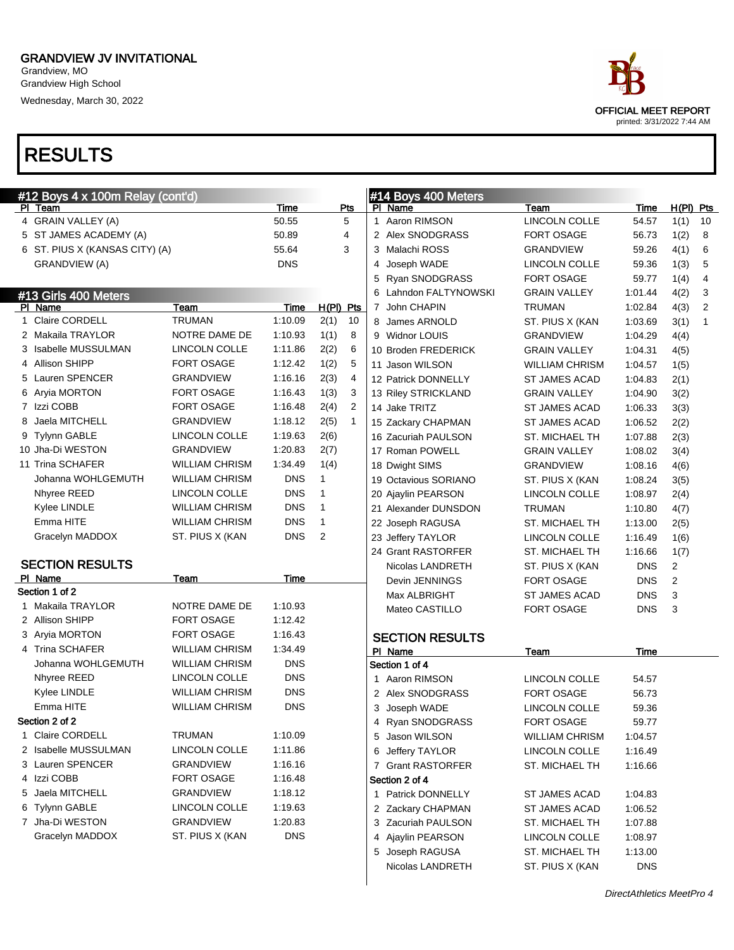Grandview, MO Grandview High School Wednesday, March 30, 2022



| #12 Boys 4 x 100m Relay (cont'd) |                       |            |              |              | #14 Boys 400 Meters    |                       |            |                |                |
|----------------------------------|-----------------------|------------|--------------|--------------|------------------------|-----------------------|------------|----------------|----------------|
| PI Team                          |                       | Time       |              | Pts          | PI Name                | Team                  | Time       | $H(PI)$ Pts    |                |
| 4 GRAIN VALLEY (A)               |                       | 50.55      |              | 5            | 1 Aaron RIMSON         | LINCOLN COLLE         | 54.57      | 1(1)           | 10             |
| 5 ST JAMES ACADEMY (A)           |                       | 50.89      |              | 4            | 2 Alex SNODGRASS       | <b>FORT OSAGE</b>     | 56.73      | 1(2)           | 8              |
| 6 ST. PIUS X (KANSAS CITY) (A)   |                       | 55.64      |              | 3            | 3 Malachi ROSS         | <b>GRANDVIEW</b>      | 59.26      | 4(1)           | 6              |
| <b>GRANDVIEW (A)</b>             |                       | <b>DNS</b> |              |              | 4 Joseph WADE          | LINCOLN COLLE         | 59.36      | 1(3)           | 5              |
|                                  |                       |            |              |              | 5 Ryan SNODGRASS       | FORT OSAGE            | 59.77      | 1(4)           | $\overline{4}$ |
| #13 Girls 400 Meters             |                       |            |              |              | 6 Lahndon FALTYNOWSKI  | <b>GRAIN VALLEY</b>   | 1:01.44    | 4(2)           | 3              |
| PI Name                          | Team                  | Time       | H(PI) Pts    |              | 7 John CHAPIN          | TRUMAN                | 1:02.84    | 4(3)           | 2              |
| 1 Claire CORDELL                 | <b>TRUMAN</b>         | 1:10.09    | 2(1)         | 10           | 8 James ARNOLD         | ST. PIUS X (KAN       | 1:03.69    | 3(1)           | $\mathbf{1}$   |
| 2 Makaila TRAYLOR                | NOTRE DAME DE         | 1:10.93    | 1(1)         | 8            | 9 Widnor LOUIS         | <b>GRANDVIEW</b>      | 1:04.29    | 4(4)           |                |
| 3 Isabelle MUSSULMAN             | <b>LINCOLN COLLE</b>  | 1:11.86    | 2(2)         | 6            | 10 Broden FREDERICK    | <b>GRAIN VALLEY</b>   | 1:04.31    | 4(5)           |                |
| 4 Allison SHIPP                  | FORT OSAGE            | 1:12.42    | 1(2)         | 5            | 11 Jason WILSON        | <b>WILLIAM CHRISM</b> | 1:04.57    | 1(5)           |                |
| 5 Lauren SPENCER                 | <b>GRANDVIEW</b>      | 1:16.16    | 2(3)         | 4            | 12 Patrick DONNELLY    | ST JAMES ACAD         | 1:04.83    | 2(1)           |                |
| 6 Aryia MORTON                   | <b>FORT OSAGE</b>     | 1:16.43    | 1(3)         | 3            | 13 Riley STRICKLAND    | <b>GRAIN VALLEY</b>   | 1:04.90    | 3(2)           |                |
| 7 Izzi COBB                      | <b>FORT OSAGE</b>     | 1:16.48    | 2(4)         | 2            | 14 Jake TRITZ          | <b>ST JAMES ACAD</b>  | 1:06.33    | 3(3)           |                |
| 8 Jaela MITCHELL                 | <b>GRANDVIEW</b>      | 1:18.12    | 2(5)         | $\mathbf{1}$ | 15 Zackary CHAPMAN     | <b>ST JAMES ACAD</b>  | 1:06.52    | 2(2)           |                |
| 9 Tylynn GABLE                   | LINCOLN COLLE         | 1:19.63    | 2(6)         |              | 16 Zacuriah PAULSON    | <b>ST. MICHAEL TH</b> | 1:07.88    | 2(3)           |                |
| 10 Jha-Di WESTON                 | <b>GRANDVIEW</b>      | 1:20.83    | 2(7)         |              | 17 Roman POWELL        | <b>GRAIN VALLEY</b>   | 1:08.02    | 3(4)           |                |
| 11 Trina SCHAFER                 | <b>WILLIAM CHRISM</b> | 1:34.49    | 1(4)         |              | 18 Dwight SIMS         | <b>GRANDVIEW</b>      | 1:08.16    | 4(6)           |                |
| Johanna WOHLGEMUTH               | <b>WILLIAM CHRISM</b> | <b>DNS</b> | 1            |              | 19 Octavious SORIANO   | ST. PIUS X (KAN       | 1:08.24    | 3(5)           |                |
| Nhyree REED                      | LINCOLN COLLE         | <b>DNS</b> | $\mathbf{1}$ |              | 20 Ajaylin PEARSON     | LINCOLN COLLE         | 1:08.97    | 2(4)           |                |
| Kylee LINDLE                     | <b>WILLIAM CHRISM</b> | <b>DNS</b> | $\mathbf{1}$ |              | 21 Alexander DUNSDON   | <b>TRUMAN</b>         | 1:10.80    | 4(7)           |                |
| Emma HITE                        | <b>WILLIAM CHRISM</b> | <b>DNS</b> | 1            |              | 22 Joseph RAGUSA       | ST. MICHAEL TH        | 1:13.00    | 2(5)           |                |
| Gracelyn MADDOX                  | ST. PIUS X (KAN       | <b>DNS</b> | 2            |              | 23 Jeffery TAYLOR      | LINCOLN COLLE         | 1:16.49    | 1(6)           |                |
|                                  |                       |            |              |              | 24 Grant RASTORFER     | ST. MICHAEL TH        | 1:16.66    | 1(7)           |                |
| <b>SECTION RESULTS</b>           |                       |            |              |              | Nicolas LANDRETH       | ST. PIUS X (KAN       | <b>DNS</b> | $\overline{2}$ |                |
| PI Name                          | Team                  | Time       |              |              | Devin JENNINGS         | <b>FORT OSAGE</b>     | <b>DNS</b> | $\overline{2}$ |                |
| Section 1 of 2                   |                       |            |              |              | Max ALBRIGHT           | <b>ST JAMES ACAD</b>  | <b>DNS</b> | 3              |                |
| 1 Makaila TRAYLOR                | NOTRE DAME DE         | 1:10.93    |              |              | Mateo CASTILLO         | FORT OSAGE            | <b>DNS</b> | 3              |                |
| 2 Allison SHIPP                  | FORT OSAGE            | 1:12.42    |              |              |                        |                       |            |                |                |
| 3 Aryia MORTON                   | FORT OSAGE            | 1:16.43    |              |              | <b>SECTION RESULTS</b> |                       |            |                |                |
| 4 Trina SCHAFER                  | <b>WILLIAM CHRISM</b> | 1:34.49    |              |              | PI Name                | Team                  | Time       |                |                |
| Johanna WOHLGEMUTH               | <b>WILLIAM CHRISM</b> | <b>DNS</b> |              |              | Section 1 of 4         |                       |            |                |                |
| Nhyree REED                      | LINCOLN COLLE         | <b>DNS</b> |              |              | 1 Aaron RIMSON         | <b>LINCOLN COLLE</b>  | 54.57      |                |                |
| Kylee LINDLE                     | <b>WILLIAM CHRISM</b> | <b>DNS</b> |              |              | 2 Alex SNODGRASS       | <b>FORT OSAGE</b>     | 56.73      |                |                |
| Emma HITE                        | <b>WILLIAM CHRISM</b> | <b>DNS</b> |              |              | 3 Joseph WADE          | LINCOLN COLLE         | 59.36      |                |                |
| Section 2 of 2                   |                       |            |              |              | 4 Ryan SNODGRASS       | FORT OSAGE            | 59.77      |                |                |
| 1 Claire CORDELL                 | <b>TRUMAN</b>         | 1:10.09    |              |              | 5 Jason WILSON         | <b>WILLIAM CHRISM</b> | 1:04.57    |                |                |
| 2 Isabelle MUSSULMAN             | LINCOLN COLLE         | 1:11.86    |              |              | 6 Jeffery TAYLOR       | LINCOLN COLLE         | 1:16.49    |                |                |
| 3 Lauren SPENCER                 | <b>GRANDVIEW</b>      | 1:16.16    |              |              | 7 Grant RASTORFER      | ST. MICHAEL TH        | 1:16.66    |                |                |
| 4 Izzi COBB                      | FORT OSAGE            | 1:16.48    |              |              | Section 2 of 4         |                       |            |                |                |
| 5 Jaela MITCHELL                 | <b>GRANDVIEW</b>      | 1:18.12    |              |              | 1 Patrick DONNELLY     | <b>ST JAMES ACAD</b>  | 1:04.83    |                |                |
| 6 Tylynn GABLE                   | LINCOLN COLLE         | 1:19.63    |              |              | 2 Zackary CHAPMAN      | <b>ST JAMES ACAD</b>  | 1:06.52    |                |                |
| 7 Jha-Di WESTON                  | <b>GRANDVIEW</b>      | 1:20.83    |              |              | 3 Zacuriah PAULSON     | ST. MICHAEL TH        | 1:07.88    |                |                |
| Gracelyn MADDOX                  | ST. PIUS X (KAN       | <b>DNS</b> |              |              | 4 Ajaylin PEARSON      | LINCOLN COLLE         | 1:08.97    |                |                |
|                                  |                       |            |              |              | 5 Joseph RAGUSA        | ST. MICHAEL TH        | 1:13.00    |                |                |
|                                  |                       |            |              |              | Nicolas LANDRETH       | ST. PIUS X (KAN       | <b>DNS</b> |                |                |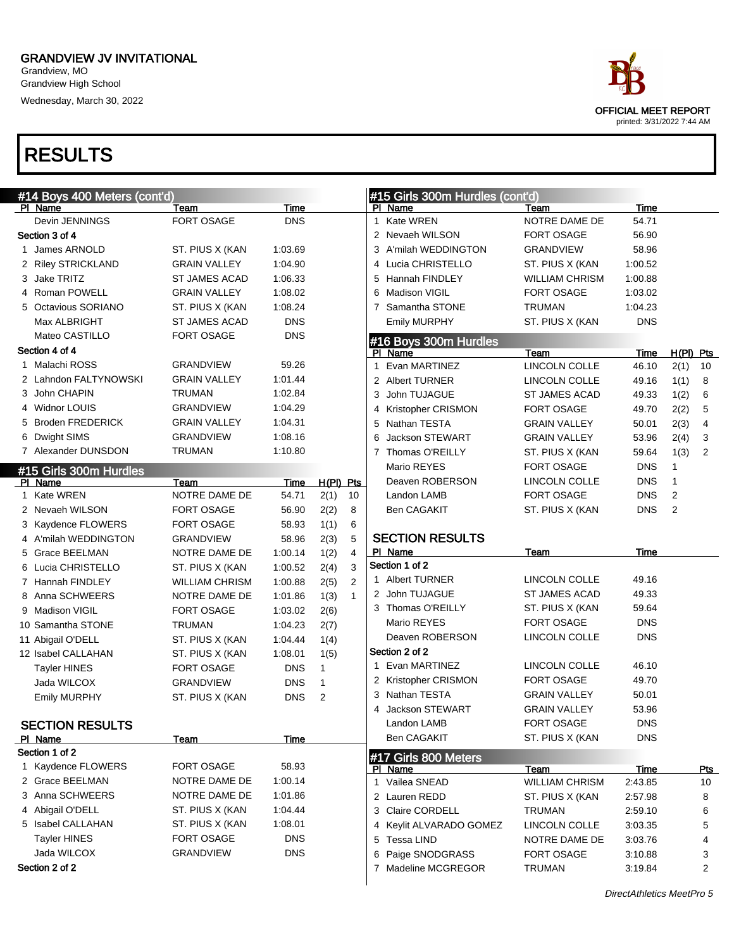Grandview, MO Grandview High School Wednesday, March 30, 2022

| #14 Boys 400 Meters (cont'd)       |                                        |                    |                |              |              | #15 Girls 300m Hurdles (cont'd)   |                                          |               |              |                |
|------------------------------------|----------------------------------------|--------------------|----------------|--------------|--------------|-----------------------------------|------------------------------------------|---------------|--------------|----------------|
| PI Name<br>Devin JENNINGS          | Team<br>FORT OSAGE                     | Time<br><b>DNS</b> |                |              |              | PI Name<br>1 Kate WREN            | Team<br>NOTRE DAME DE                    | Time<br>54.71 |              |                |
| Section 3 of 4                     |                                        |                    |                |              |              | 2 Nevaeh WILSON                   | FORT OSAGE                               | 56.90         |              |                |
| 1 James ARNOLD                     |                                        | 1:03.69            |                |              |              | 3 A'milah WEDDINGTON              | <b>GRANDVIEW</b>                         | 58.96         |              |                |
|                                    | ST. PIUS X (KAN<br><b>GRAIN VALLEY</b> | 1:04.90            |                |              |              | 4 Lucia CHRISTELLO                |                                          | 1:00.52       |              |                |
| 2 Riley STRICKLAND<br>3 Jake TRITZ | <b>ST JAMES ACAD</b>                   |                    |                |              |              | 5 Hannah FINDLEY                  | ST. PIUS X (KAN<br><b>WILLIAM CHRISM</b> | 1:00.88       |              |                |
|                                    |                                        | 1:06.33            |                |              |              |                                   |                                          |               |              |                |
| 4 Roman POWELL                     | <b>GRAIN VALLEY</b>                    | 1:08.02            |                |              | 6            | Madison VIGIL<br>7 Samantha STONE | <b>FORT OSAGE</b>                        | 1:03.02       |              |                |
| 5 Octavious SORIANO                | ST. PIUS X (KAN                        | 1:08.24            |                |              |              |                                   | <b>TRUMAN</b>                            | 1:04.23       |              |                |
| Max ALBRIGHT                       | <b>ST JAMES ACAD</b>                   | <b>DNS</b>         |                |              |              | <b>Emily MURPHY</b>               | ST. PIUS X (KAN                          | <b>DNS</b>    |              |                |
| Mateo CASTILLO                     | <b>FORT OSAGE</b>                      | <b>DNS</b>         |                |              |              | #16 Boys 300m Hurdles             |                                          |               |              |                |
| Section 4 of 4                     |                                        |                    |                |              |              | PI Name                           | Team                                     | Time          | $H(PI)$ Pts  |                |
| 1 Malachi ROSS                     | <b>GRANDVIEW</b>                       | 59.26              |                |              | $\mathbf{1}$ | Evan MARTINEZ                     | LINCOLN COLLE                            | 46.10         | 2(1)         | - 10           |
| 2 Lahndon FALTYNOWSKI              | <b>GRAIN VALLEY</b>                    | 1:01.44            |                |              |              | 2 Albert TURNER                   | LINCOLN COLLE                            | 49.16         | 1(1)         | - 8            |
| 3 John CHAPIN                      | <b>TRUMAN</b>                          | 1:02.84            |                |              | 3            | John TUJAGUE                      | <b>ST JAMES ACAD</b>                     | 49.33         | 1(2)         | 6              |
| 4 Widnor LOUIS                     | <b>GRANDVIEW</b>                       | 1:04.29            |                |              |              | 4 Kristopher CRISMON              | <b>FORT OSAGE</b>                        | 49.70         | 2(2)         | 5              |
| 5 Broden FREDERICK                 | <b>GRAIN VALLEY</b>                    | 1:04.31            |                |              | 5            | Nathan TESTA                      | <b>GRAIN VALLEY</b>                      | 50.01         | 2(3)         | 4              |
| 6 Dwight SIMS                      | <b>GRANDVIEW</b>                       | 1:08.16            |                |              | 6            | <b>Jackson STEWART</b>            | <b>GRAIN VALLEY</b>                      | 53.96         | 2(4)         | 3              |
| 7 Alexander DUNSDON                | <b>TRUMAN</b>                          | 1:10.80            |                |              |              | 7 Thomas O'REILLY                 | ST. PIUS X (KAN                          | 59.64         | 1(3)         | $\overline{2}$ |
| #15 Girls 300m Hurdles             |                                        |                    |                |              |              | Mario REYES                       | <b>FORT OSAGE</b>                        | <b>DNS</b>    | 1            |                |
| PI Name                            | Team                                   | Time               | $H(PI)$ Pts    |              |              | Deaven ROBERSON                   | LINCOLN COLLE                            | <b>DNS</b>    | $\mathbf{1}$ |                |
| 1 Kate WREN                        | NOTRE DAME DE                          | 54.71              | 2(1)           | 10           |              | Landon LAMB                       | <b>FORT OSAGE</b>                        | <b>DNS</b>    | 2            |                |
| 2 Nevaeh WILSON                    | <b>FORT OSAGE</b>                      | 56.90              | 2(2)           | 8            |              | <b>Ben CAGAKIT</b>                | ST. PIUS X (KAN                          | <b>DNS</b>    | 2            |                |
| 3 Kaydence FLOWERS                 | <b>FORT OSAGE</b>                      | 58.93              | 1(1)           | 6            |              |                                   |                                          |               |              |                |
| 4 A'milah WEDDINGTON               | <b>GRANDVIEW</b>                       | 58.96              | 2(3)           | 5            |              | <b>SECTION RESULTS</b>            |                                          |               |              |                |
| 5 Grace BEELMAN                    | NOTRE DAME DE                          | 1:00.14            | 1(2)           | 4            |              | PI Name                           | Team                                     | Time          |              |                |
| 6 Lucia CHRISTELLO                 | ST. PIUS X (KAN                        | 1:00.52            | 2(4)           | 3            |              | Section 1 of 2                    |                                          |               |              |                |
| 7 Hannah FINDLEY                   | <b>WILLIAM CHRISM</b>                  | 1:00.88            | 2(5)           | 2            |              | 1 Albert TURNER                   | LINCOLN COLLE                            | 49.16         |              |                |
| 8 Anna SCHWEERS                    | NOTRE DAME DE                          | 1:01.86            | 1(3)           | $\mathbf{1}$ |              | 2 John TUJAGUE                    | <b>ST JAMES ACAD</b>                     | 49.33         |              |                |
| 9 Madison VIGIL                    | FORT OSAGE                             | 1:03.02            | 2(6)           |              |              | 3 Thomas O'REILLY                 | ST. PIUS X (KAN                          | 59.64         |              |                |
| 10 Samantha STONE                  | <b>TRUMAN</b>                          | 1:04.23            | 2(7)           |              |              | Mario REYES                       | FORT OSAGE                               | <b>DNS</b>    |              |                |
| 11 Abigail O'DELL                  | ST. PIUS X (KAN                        | 1:04.44            | 1(4)           |              |              | Deaven ROBERSON                   | LINCOLN COLLE                            | <b>DNS</b>    |              |                |
| 12 Isabel CALLAHAN                 | ST. PIUS X (KAN                        | 1:08.01            | 1(5)           |              |              | Section 2 of 2                    |                                          |               |              |                |
| <b>Tayler HINES</b>                | <b>FORT OSAGE</b>                      | <b>DNS</b>         | $\mathbf{1}$   |              |              | 1 Evan MARTINEZ                   | LINCOLN COLLE                            | 46.10         |              |                |
| Jada WILCOX                        | <b>GRANDVIEW</b>                       | <b>DNS</b>         | $\mathbf{1}$   |              |              | 2 Kristopher CRISMON              | FORT OSAGE                               | 49.70         |              |                |
| <b>Emily MURPHY</b>                | ST. PIUS X (KAN                        | <b>DNS</b>         | $\overline{2}$ |              |              | 3 Nathan TESTA                    | <b>GRAIN VALLEY</b>                      | 50.01         |              |                |
|                                    |                                        |                    |                |              |              | 4 Jackson STEWART                 | <b>GRAIN VALLEY</b>                      | 53.96         |              |                |
| <b>SECTION RESULTS</b>             |                                        |                    |                |              |              | Landon LAMB                       | FORT OSAGE                               | <b>DNS</b>    |              |                |
| PI Name                            | <b>Team</b>                            | <b>Time</b>        |                |              |              | <b>Ben CAGAKIT</b>                | ST. PIUS X (KAN                          | <b>DNS</b>    |              |                |
| Section 1 of 2                     |                                        |                    |                |              |              | #17 Girls 800 Meters              |                                          |               |              |                |
| 1 Kaydence FLOWERS                 | FORT OSAGE                             | 58.93              |                |              |              | PI Name                           | Team                                     | <b>Time</b>   |              | <u>Pts</u>     |
| 2 Grace BEELMAN                    | NOTRE DAME DE                          | 1:00.14            |                |              |              | 1 Vailea SNEAD                    | <b>WILLIAM CHRISM</b>                    | 2:43.85       |              | 10             |
| 3 Anna SCHWEERS                    | NOTRE DAME DE                          | 1:01.86            |                |              |              | 2 Lauren REDD                     | ST. PIUS X (KAN                          | 2:57.98       |              | 8              |
| 4 Abigail O'DELL                   | ST. PIUS X (KAN                        | 1:04.44            |                |              |              | 3 Claire CORDELL                  | <b>TRUMAN</b>                            | 2:59.10       |              | 6              |
| 5 Isabel CALLAHAN                  | ST. PIUS X (KAN                        | 1:08.01            |                |              |              | 4 Keylit ALVARADO GOMEZ           | LINCOLN COLLE                            | 3:03.35       |              | 5              |
| <b>Tayler HINES</b>                | <b>FORT OSAGE</b>                      | <b>DNS</b>         |                |              |              | 5 Tessa LIND                      | NOTRE DAME DE                            | 3:03.76       |              | 4              |
| Jada WILCOX                        | <b>GRANDVIEW</b>                       | <b>DNS</b>         |                |              |              | 6 Paige SNODGRASS                 | FORT OSAGE                               | 3:10.88       |              | 3              |
| Section 2 of 2                     |                                        |                    |                |              |              | 7 Madeline MCGREGOR               | <b>TRUMAN</b>                            | 3:19.84       |              | 2              |
|                                    |                                        |                    |                |              |              |                                   |                                          |               |              |                |

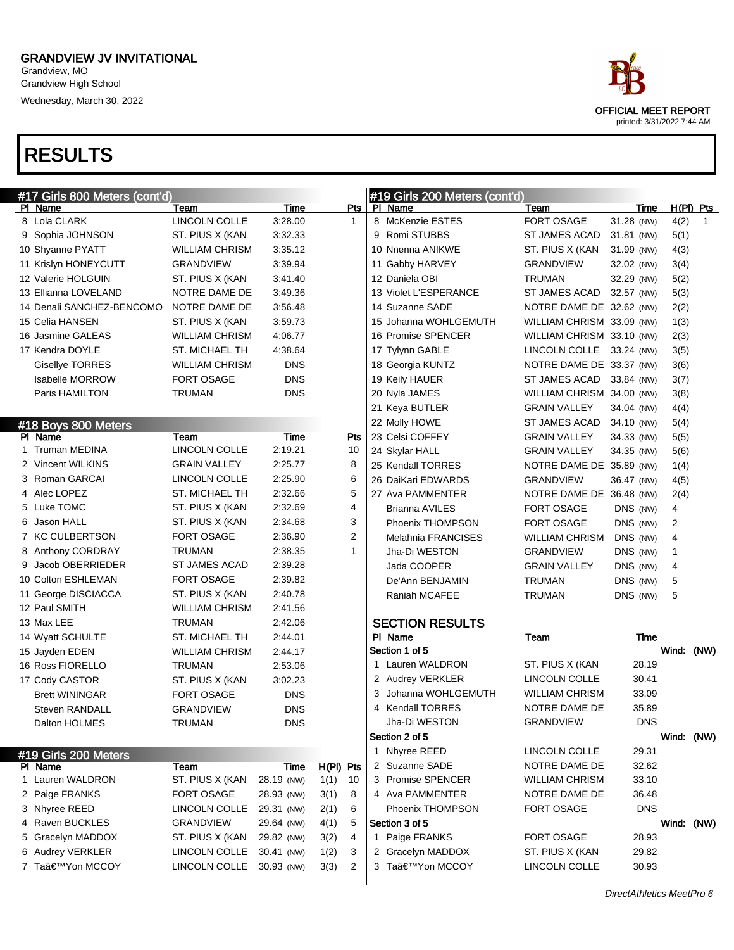Grandview, MO Grandview High School Wednesday, March 30, 2022

|   | #17 Girls 800 Meters (cont'd) |                       |            |                | #19 Girls 200 Meters (cont'd) |                           |            |             |              |
|---|-------------------------------|-----------------------|------------|----------------|-------------------------------|---------------------------|------------|-------------|--------------|
|   | PI Name                       | Team                  | Time       | Pts            | PI Name                       | Team                      | Time       | $H(PI)$ Pts |              |
|   | 8 Lola CLARK                  | LINCOLN COLLE         | 3:28.00    | 1              | 8 McKenzie ESTES              | <b>FORT OSAGE</b>         | 31.28 (NW) | 4(2)        | $\mathbf{1}$ |
|   | 9 Sophia JOHNSON              | ST. PIUS X (KAN       | 3:32.33    |                | 9 Romi STUBBS                 | <b>ST JAMES ACAD</b>      | 31.81 (NW) | 5(1)        |              |
|   | 10 Shyanne PYATT              | WILLIAM CHRISM        | 3:35.12    |                | 10 Nnenna ANIKWE              | ST. PIUS X (KAN           | 31.99 (NW) | 4(3)        |              |
|   | 11 Krislyn HONEYCUTT          | <b>GRANDVIEW</b>      | 3:39.94    |                | 11 Gabby HARVEY               | GRANDVIEW                 | 32.02 (NW) | 3(4)        |              |
|   | 12 Valerie HOLGUIN            | ST. PIUS X (KAN       | 3:41.40    |                | 12 Daniela OBI                | <b>TRUMAN</b>             | 32.29 (NW) | 5(2)        |              |
|   | 13 Ellianna LOVELAND          | NOTRE DAME DE         | 3:49.36    |                | 13 Violet L'ESPERANCE         | ST JAMES ACAD             | 32.57 (NW) | 5(3)        |              |
|   | 14 Denali SANCHEZ-BENCOMO     | NOTRE DAME DE         | 3:56.48    |                | 14 Suzanne SADE               | NOTRE DAME DE 32.62 (NW)  |            | 2(2)        |              |
|   | 15 Celia HANSEN               | ST. PIUS X (KAN       | 3:59.73    |                | 15 Johanna WOHLGEMUTH         | WILLIAM CHRISM 33.09 (NW) |            | 1(3)        |              |
|   | 16 Jasmine GALEAS             | WILLIAM CHRISM        | 4:06.77    |                | 16 Promise SPENCER            | WILLIAM CHRISM 33.10 (NW) |            | 2(3)        |              |
|   | 17 Kendra DOYLE               | <b>ST. MICHAEL TH</b> | 4:38.64    |                | 17 Tylynn GABLE               | LINCOLN COLLE             | 33.24 (NW) | 3(5)        |              |
|   | <b>Gisellye TORRES</b>        | WILLIAM CHRISM        | <b>DNS</b> |                | 18 Georgia KUNTZ              | NOTRE DAME DE 33.37 (NW)  |            | 3(6)        |              |
|   | <b>Isabelle MORROW</b>        | <b>FORT OSAGE</b>     | <b>DNS</b> |                | 19 Keily HAUER                | ST JAMES ACAD             | 33.84 (NW) | 3(7)        |              |
|   | Paris HAMILTON                | <b>TRUMAN</b>         | <b>DNS</b> |                | 20 Nyla JAMES                 | WILLIAM CHRISM 34.00 (NW) |            | 3(8)        |              |
|   |                               |                       |            |                | 21 Keya BUTLER                | <b>GRAIN VALLEY</b>       | 34.04 (NW) | 4(4)        |              |
|   | #18 Boys 800 Meters           |                       |            |                | 22 Molly HOWE                 | <b>ST JAMES ACAD</b>      | 34.10 (NW) | 5(4)        |              |
|   | PI Name                       | Team                  | Time       | <b>Pts</b>     | 23 Celsi COFFEY               | <b>GRAIN VALLEY</b>       | 34.33 (NW) | 5(5)        |              |
|   | 1 Truman MEDINA               | LINCOLN COLLE         | 2:19.21    | 10             | 24 Skylar HALL                | <b>GRAIN VALLEY</b>       | 34.35 (NW) | 5(6)        |              |
|   | 2 Vincent WILKINS             | <b>GRAIN VALLEY</b>   | 2:25.77    | 8              | 25 Kendall TORRES             | NOTRE DAME DE 35.89 (NW)  |            | 1(4)        |              |
|   | 3 Roman GARCAI                | LINCOLN COLLE         | 2:25.90    | 6              | 26 DaiKari EDWARDS            | <b>GRANDVIEW</b>          | 36.47 (NW) | 4(5)        |              |
|   | 4 Alec LOPEZ                  | ST. MICHAEL TH        | 2:32.66    | 5              | 27 Ava PAMMENTER              | NOTRE DAME DE 36.48 (NW)  |            | 2(4)        |              |
|   | 5 Luke TOMC                   | ST. PIUS X (KAN       | 2:32.69    | 4              | <b>Brianna AVILES</b>         | <b>FORT OSAGE</b>         | DNS (NW)   | 4           |              |
|   | 6 Jason HALL                  | ST. PIUS X (KAN       | 2:34.68    | 3              | Phoenix THOMPSON              | <b>FORT OSAGE</b>         | DNS (NW)   | 2           |              |
|   | 7 KC CULBERTSON               | <b>FORT OSAGE</b>     | 2:36.90    | $\overline{2}$ | Melahnia FRANCISES            | WILLIAM CHRISM            | DNS (NW)   | 4           |              |
|   | 8 Anthony CORDRAY             | <b>TRUMAN</b>         | 2:38.35    | 1              | Jha-Di WESTON                 | <b>GRANDVIEW</b>          | DNS (NW)   | 1           |              |
| 9 | Jacob OBERRIEDER              | <b>ST JAMES ACAD</b>  | 2:39.28    |                | Jada COOPER                   | <b>GRAIN VALLEY</b>       | DNS (NW)   | 4           |              |
|   | 10 Colton ESHLEMAN            | <b>FORT OSAGE</b>     | 2:39.82    |                | De'Ann BENJAMIN               | <b>TRUMAN</b>             | DNS (NW)   | 5           |              |
|   | 11 George DISCIACCA           | ST. PIUS X (KAN       | 2:40.78    |                | Raniah MCAFEE                 | <b>TRUMAN</b>             | DNS (NW)   | 5           |              |
|   | 12 Paul SMITH                 | <b>WILLIAM CHRISM</b> | 2:41.56    |                |                               |                           |            |             |              |
|   | 13 Max LEE                    | <b>TRUMAN</b>         | 2:42.06    |                | <b>SECTION RESULTS</b>        |                           |            |             |              |
|   | 14 Wyatt SCHULTE              | <b>ST. MICHAEL TH</b> | 2:44.01    |                | PI Name                       | Team                      | Time       |             |              |
|   | 15 Jayden EDEN                | <b>WILLIAM CHRISM</b> | 2:44.17    |                | Section 1 of 5                |                           |            | Wind: (NW)  |              |
|   | 16 Ross FIORELLO              | <b>TRUMAN</b>         | 2:53.06    |                | 1 Lauren WALDRON              | ST. PIUS X (KAN           | 28.19      |             |              |
|   | 17 Cody CASTOR                | ST. PIUS X (KAN       | 3:02.23    |                | 2 Audrey VERKLER              | LINCOLN COLLE             | 30.41      |             |              |
|   | <b>Brett WININGAR</b>         | FORT OSAGE            | <b>DNS</b> |                | Johanna WOHLGEMUTH<br>3       | <b>WILLIAM CHRISM</b>     | 33.09      |             |              |
|   | <b>Steven RANDALL</b>         | <b>GRANDVIEW</b>      | <b>DNS</b> |                | 4 Kendall TORRES              | NOTRE DAME DE             | 35.89      |             |              |
|   | Dalton HOLMES                 | TRUMAN                | <b>DNS</b> |                | Jha-Di WESTON                 | GRANDVIEW                 | <b>DNS</b> |             |              |
|   |                               |                       |            |                | Section 2 of 5                |                           |            | Wind: (NW)  |              |
|   | #19 Girls 200 Meters          |                       |            |                | 1 Nhyree REED                 | LINCOLN COLLE             | 29.31      |             |              |
|   | PI Name                       | Team                  | Time       | H(PI) Pts      | 2 Suzanne SADE                | NOTRE DAME DE             | 32.62      |             |              |
|   | 1 Lauren WALDRON              | ST. PIUS X (KAN       | 28.19 (NW) | 1(1)<br>10     | 3 Promise SPENCER             | <b>WILLIAM CHRISM</b>     | 33.10      |             |              |
|   | 2 Paige FRANKS                | FORT OSAGE            | 28.93 (NW) | 3(1)<br>8      | 4 Ava PAMMENTER               | NOTRE DAME DE             | 36.48      |             |              |
|   | 3 Nhyree REED                 | LINCOLN COLLE         | 29.31 (NW) | 6<br>2(1)      | Phoenix THOMPSON              | <b>FORT OSAGE</b>         | <b>DNS</b> |             |              |
|   | 4 Raven BUCKLES               | <b>GRANDVIEW</b>      | 29.64 (NW) | 5<br>4(1)      | Section 3 of 5                |                           |            | Wind: (NW)  |              |
|   | 5 Gracelyn MADDOX             | ST. PIUS X (KAN       | 29.82 (NW) | 3(2)<br>4      | 1 Paige FRANKS                | FORT OSAGE                | 28.93      |             |              |
|   | 6 Audrey VERKLER              | LINCOLN COLLE         | 30.41 (NW) | 3<br>1(2)      | 2 Gracelyn MADDOX             | ST. PIUS X (KAN           | 29.82      |             |              |
|   | 7 Ta'Yon MCCOY                | LINCOLN COLLE         | 30.93 (NW) | 2<br>3(3)      | 3 Ta'Yon MCCOY                | LINCOLN COLLE             | 30.93      |             |              |
|   |                               |                       |            |                |                               |                           |            |             |              |

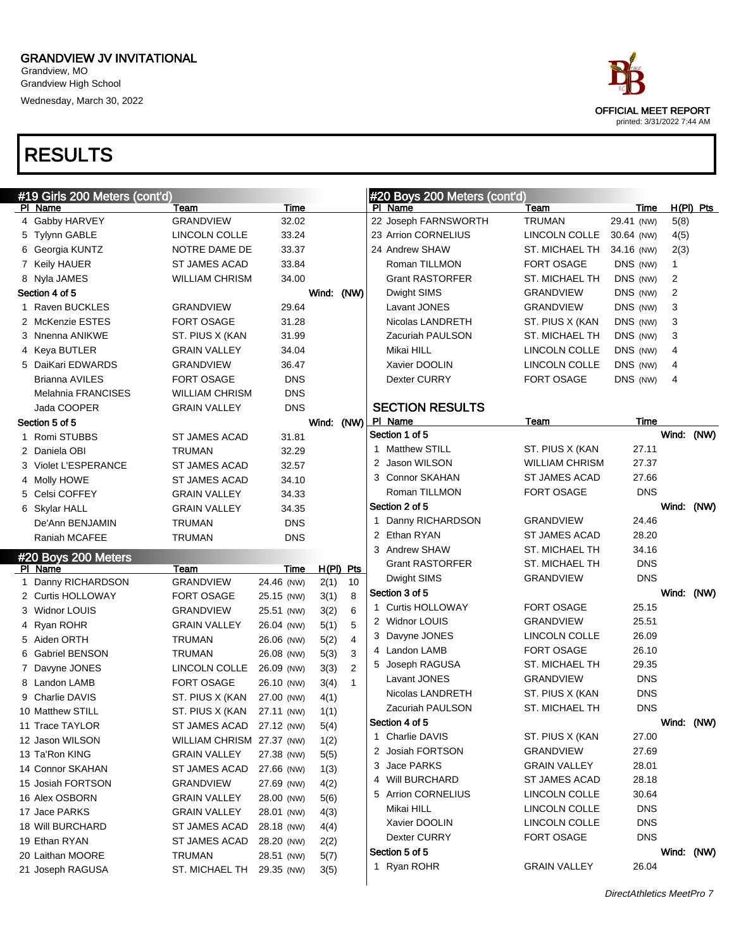Grandview, MO Grandview High School Wednesday, March 30, 2022



| #19 Girls 200 Meters (cont'd) |                           |            |       |                |   | #20 Boys 200 Meters (cont'd) |                       |            |              |             |
|-------------------------------|---------------------------|------------|-------|----------------|---|------------------------------|-----------------------|------------|--------------|-------------|
| PI Name                       | Team                      | Time       |       |                |   | PI Name                      | Team                  | Time       |              | $H(PI)$ Pts |
| 4 Gabby HARVEY                | <b>GRANDVIEW</b>          | 32.02      |       |                |   | 22 Joseph FARNSWORTH         | <b>TRUMAN</b>         | 29.41 (NW) | 5(8)         |             |
| 5 Tylynn GABLE                | LINCOLN COLLE             | 33.24      |       |                |   | 23 Arrion CORNELIUS          | LINCOLN COLLE         | 30.64 (NW) | 4(5)         |             |
| 6 Georgia KUNTZ               | NOTRE DAME DE             | 33.37      |       |                |   | 24 Andrew SHAW               | ST. MICHAEL TH        | 34.16 (NW) | 2(3)         |             |
| 7 Keily HAUER                 | <b>ST JAMES ACAD</b>      | 33.84      |       |                |   | Roman TILLMON                | <b>FORT OSAGE</b>     | DNS (NW)   | $\mathbf{1}$ |             |
| 8 Nyla JAMES                  | <b>WILLIAM CHRISM</b>     | 34.00      |       |                |   | <b>Grant RASTORFER</b>       | <b>ST. MICHAEL TH</b> | DNS (NW)   | 2            |             |
| Section 4 of 5                |                           |            |       | Wind: (NW)     |   | Dwight SIMS                  | <b>GRANDVIEW</b>      | DNS (NW)   | 2            |             |
| 1 Raven BUCKLES               | <b>GRANDVIEW</b>          | 29.64      |       |                |   | Lavant JONES                 | <b>GRANDVIEW</b>      | DNS (NW)   | 3            |             |
| 2 McKenzie ESTES              | <b>FORT OSAGE</b>         | 31.28      |       |                |   | Nicolas LANDRETH             | ST. PIUS X (KAN       | DNS (NW)   | 3            |             |
| 3 Nnenna ANIKWE               | ST. PIUS X (KAN           | 31.99      |       |                |   | Zacuriah PAULSON             | <b>ST. MICHAEL TH</b> | DNS (NW)   | 3            |             |
| 4 Keya BUTLER                 | GRAIN VALLEY              | 34.04      |       |                |   | Mikai HILL                   | LINCOLN COLLE         | DNS (NW)   | 4            |             |
| 5 DaiKari EDWARDS             | GRANDVIEW                 | 36.47      |       |                |   | Xavier DOOLIN                | <b>LINCOLN COLLE</b>  | DNS (NW)   | 4            |             |
| <b>Brianna AVILES</b>         | <b>FORT OSAGE</b>         | <b>DNS</b> |       |                |   | <b>Dexter CURRY</b>          | <b>FORT OSAGE</b>     | DNS (NW)   | 4            |             |
| Melahnia FRANCISES            | <b>WILLIAM CHRISM</b>     | <b>DNS</b> |       |                |   |                              |                       |            |              |             |
| Jada COOPER                   | <b>GRAIN VALLEY</b>       | <b>DNS</b> |       |                |   | <b>SECTION RESULTS</b>       |                       |            |              |             |
| Section 5 of 5                |                           |            | Wind: | (NW)           |   | PI Name                      | Team                  | Time       |              |             |
| 1 Romi STUBBS                 | <b>ST JAMES ACAD</b>      | 31.81      |       |                |   | Section 1 of 5               |                       |            |              | Wind: (NW)  |
| 2 Daniela OBI                 | <b>TRUMAN</b>             | 32.29      |       |                |   | 1 Matthew STILL              | ST. PIUS X (KAN       | 27.11      |              |             |
| 3 Violet L'ESPERANCE          | <b>ST JAMES ACAD</b>      | 32.57      |       |                |   | 2 Jason WILSON               | <b>WILLIAM CHRISM</b> | 27.37      |              |             |
| 4 Molly HOWE                  | <b>ST JAMES ACAD</b>      | 34.10      |       |                |   | 3 Connor SKAHAN              | ST JAMES ACAD         | 27.66      |              |             |
| 5 Celsi COFFEY                | <b>GRAIN VALLEY</b>       | 34.33      |       |                |   | Roman TILLMON                | FORT OSAGE            | <b>DNS</b> |              |             |
| 6 Skylar HALL                 | <b>GRAIN VALLEY</b>       | 34.35      |       |                |   | Section 2 of 5               |                       |            |              | Wind: (NW)  |
| De'Ann BENJAMIN               | <b>TRUMAN</b>             | <b>DNS</b> |       |                |   | 1 Danny RICHARDSON           | <b>GRANDVIEW</b>      | 24.46      |              |             |
| Raniah MCAFEE                 | <b>TRUMAN</b>             | <b>DNS</b> |       |                |   | 2 Ethan RYAN                 | <b>ST JAMES ACAD</b>  | 28.20      |              |             |
| #20 Boys 200 Meters           |                           |            |       |                |   | 3 Andrew SHAW                | ST. MICHAEL TH        | 34.16      |              |             |
| PI Name                       | Team                      | Time       |       | $H(PI)$ Pts    |   | <b>Grant RASTORFER</b>       | ST. MICHAEL TH        | <b>DNS</b> |              |             |
| 1 Danny RICHARDSON            | <b>GRANDVIEW</b>          | 24.46 (NW) | 2(1)  | 10             |   | Dwight SIMS                  | <b>GRANDVIEW</b>      | <b>DNS</b> |              |             |
| 2 Curtis HOLLOWAY             | <b>FORT OSAGE</b>         | 25.15 (NW) | 3(1)  | 8              |   | Section 3 of 5               |                       |            |              | Wind: (NW)  |
| 3 Widnor LOUIS                | <b>GRANDVIEW</b>          | 25.51 (NW) | 3(2)  | 6              |   | 1 Curtis HOLLOWAY            | <b>FORT OSAGE</b>     | 25.15      |              |             |
| 4 Ryan ROHR                   | <b>GRAIN VALLEY</b>       | 26.04 (NW) | 5(1)  | 5              |   | 2 Widnor LOUIS               | <b>GRANDVIEW</b>      | 25.51      |              |             |
| 5 Aiden ORTH                  | TRUMAN                    | 26.06 (NW) | 5(2)  | $\overline{4}$ |   | 3 Davyne JONES               | LINCOLN COLLE         | 26.09      |              |             |
| 6 Gabriel BENSON              | TRUMAN                    | 26.08 (NW) | 5(3)  | 3              |   | 4 Landon LAMB                | <b>FORT OSAGE</b>     | 26.10      |              |             |
| 7 Davyne JONES                | LINCOLN COLLE             | 26.09 (NW) | 3(3)  | 2              |   | 5 Joseph RAGUSA              | ST. MICHAEL TH        | 29.35      |              |             |
| 8 Landon LAMB                 | <b>FORT OSAGE</b>         | 26.10 (NW) | 3(4)  | $\mathbf{1}$   |   | Lavant JONES                 | <b>GRANDVIEW</b>      | <b>DNS</b> |              |             |
| 9 Charlie DAVIS               | ST. PIUS X (KAN           | 27.00 (NW) | 4(1)  |                |   | Nicolas LANDRETH             | ST. PIUS X (KAN       | <b>DNS</b> |              |             |
| 10 Matthew STILL              | ST. PIUS X (KAN           | 27.11 (NW) | 1(1)  |                |   | Zacuriah PAULSON             | <b>ST. MICHAEL TH</b> | <b>DNS</b> |              |             |
| 11 Trace TAYLOR               | ST JAMES ACAD 27.12 (NW)  |            | 5(4)  |                |   | Section 4 of 5               |                       |            |              | Wind: (NW)  |
| 12 Jason WILSON               | WILLIAM CHRISM 27.37 (NW) |            | 1(2)  |                | 1 | <b>Charlie DAVIS</b>         | ST. PIUS X (KAN       | 27.00      |              |             |
| 13 Ta'Ron KING                | <b>GRAIN VALLEY</b>       | 27.38 (NW) | 5(5)  |                | 2 | Josiah FORTSON               | <b>GRANDVIEW</b>      | 27.69      |              |             |
| 14 Connor SKAHAN              | ST JAMES ACAD             | 27.66 (NW) | 1(3)  |                |   | 3 Jace PARKS                 | <b>GRAIN VALLEY</b>   | 28.01      |              |             |
| 15 Josiah FORTSON             | GRANDVIEW                 | 27.69 (NW) | 4(2)  |                |   | 4 Will BURCHARD              | <b>ST JAMES ACAD</b>  | 28.18      |              |             |
| 16 Alex OSBORN                | <b>GRAIN VALLEY</b>       | 28.00 (NW) | 5(6)  |                |   | 5 Arrion CORNELIUS           | LINCOLN COLLE         | 30.64      |              |             |
| 17 Jace PARKS                 | <b>GRAIN VALLEY</b>       | 28.01 (NW) | 4(3)  |                |   | Mikai HILL                   | LINCOLN COLLE         | <b>DNS</b> |              |             |
| 18 Will BURCHARD              | ST JAMES ACAD             | 28.18 (NW) | 4(4)  |                |   | Xavier DOOLIN                | LINCOLN COLLE         | <b>DNS</b> |              |             |
| 19 Ethan RYAN                 | ST JAMES ACAD             | 28.20 (NW) | 2(2)  |                |   | Dexter CURRY                 | FORT OSAGE            | <b>DNS</b> |              |             |
| 20 Laithan MOORE              | TRUMAN                    | 28.51 (NW) | 5(7)  |                |   | Section 5 of 5               |                       |            |              | Wind: (NW)  |
| 21 Joseph RAGUSA              | ST. MICHAEL TH            | 29.35 (NW) | 3(5)  |                |   | 1 Ryan ROHR                  | <b>GRAIN VALLEY</b>   | 26.04      |              |             |
|                               |                           |            |       |                |   |                              |                       |            |              |             |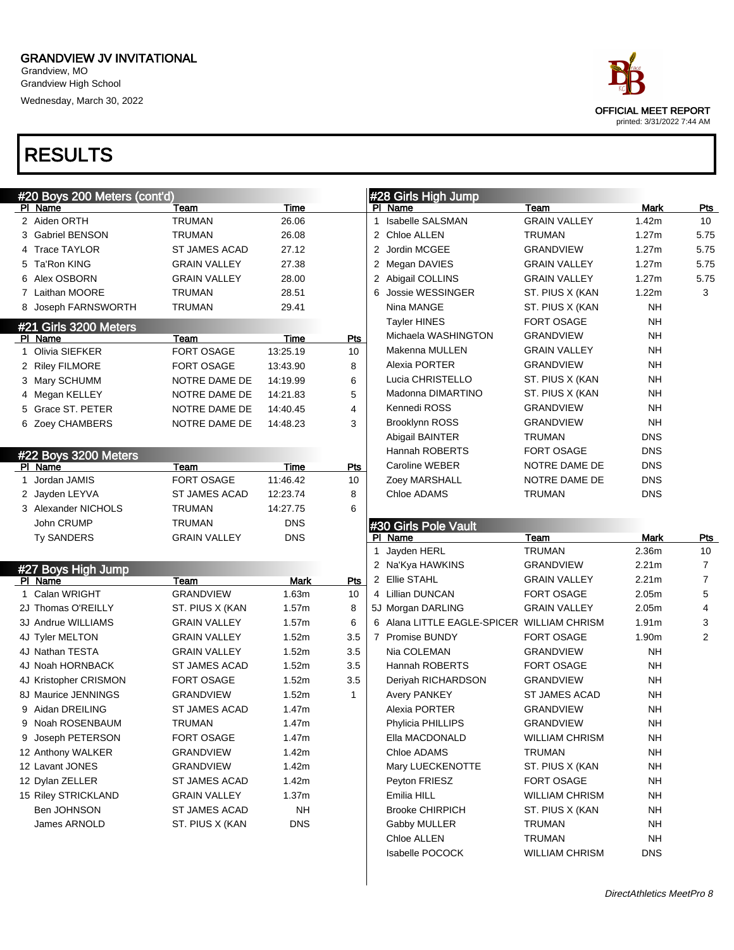Grandview, MO Grandview High School Wednesday, March 30, 2022

### RESULTS

| #20 Boys 200 Meters (cont'd) |                       |                      |            |     |  |  |  |  |  |  |
|------------------------------|-----------------------|----------------------|------------|-----|--|--|--|--|--|--|
| PI                           | Name                  | Team                 | Time       |     |  |  |  |  |  |  |
| 2                            | Aiden ORTH            | <b>TRUMAN</b>        | 26.06      |     |  |  |  |  |  |  |
| 3                            | <b>Gabriel BENSON</b> | <b>TRUMAN</b>        | 26.08      |     |  |  |  |  |  |  |
| 4                            | <b>Trace TAYLOR</b>   | <b>ST JAMES ACAD</b> | 27.12      |     |  |  |  |  |  |  |
| 5                            | Ta'Ron KING           | <b>GRAIN VALLEY</b>  | 27.38      |     |  |  |  |  |  |  |
|                              | 6 Alex OSBORN         | <b>GRAIN VALLEY</b>  | 28.00      |     |  |  |  |  |  |  |
| 7                            | Laithan MOORE         | <b>TRUMAN</b>        | 28.51      |     |  |  |  |  |  |  |
| 8                            | Joseph FARNSWORTH     | <b>TRUMAN</b>        | 29.41      |     |  |  |  |  |  |  |
|                              | #21 Girls 3200 Meters |                      |            |     |  |  |  |  |  |  |
| ΡI                           | Name                  | Team                 | Time       | Pts |  |  |  |  |  |  |
| 1                            | Olivia SIEFKER        | FORT OSAGE           | 13:25.19   | 10  |  |  |  |  |  |  |
| 2                            | <b>Riley FILMORE</b>  | <b>FORT OSAGE</b>    | 13:43.90   | 8   |  |  |  |  |  |  |
| 3                            | Mary SCHUMM           | NOTRE DAME DE        | 14:19.99   | 6   |  |  |  |  |  |  |
| 4                            | Megan KELLEY          | NOTRE DAME DE        | 14:21.83   | 5   |  |  |  |  |  |  |
| 5                            | Grace ST. PETER       | NOTRE DAME DE        | 14:40.45   | 4   |  |  |  |  |  |  |
|                              | 6 Zoey CHAMBERS       | NOTRE DAME DE        | 14:48.23   | 3   |  |  |  |  |  |  |
|                              | #22 Boys 3200 Meters  |                      |            |     |  |  |  |  |  |  |
| PI                           | Name                  | <b>Team</b>          | Time       | Pts |  |  |  |  |  |  |
| 1                            | Jordan JAMIS          | <b>FORT OSAGE</b>    | 11:46.42   | 10  |  |  |  |  |  |  |
| 2                            | Jayden LEYVA          | <b>ST JAMES ACAD</b> | 12:23.74   | 8   |  |  |  |  |  |  |
|                              | 3 Alexander NICHOLS   | <b>TRUMAN</b>        | 14:27.75   | 6   |  |  |  |  |  |  |
|                              | John CRUMP            | <b>TRUMAN</b>        | <b>DNS</b> |     |  |  |  |  |  |  |
|                              | <b>Ty SANDERS</b>     | <b>GRAIN VALLEY</b>  | <b>DNS</b> |     |  |  |  |  |  |  |
|                              | <b>Boys High Jump</b> |                      |            |     |  |  |  |  |  |  |
| ΡI                           | Name                  | Team                 | Mark       | Pts |  |  |  |  |  |  |

| ΡI<br>Name            | eam                  | Mark              | Pts |
|-----------------------|----------------------|-------------------|-----|
| Calan WRIGHT<br>1     | <b>GRANDVIEW</b>     | 1.63m             | 10  |
| 2J Thomas O'REILLY    | ST. PIUS X (KAN      | 1.57m             | 8   |
| 3J Andrue WILLIAMS    | <b>GRAIN VALLEY</b>  | 1.57m             | 6   |
| 4J Tyler MELTON       | <b>GRAIN VALLEY</b>  | 1.52m             | 3.5 |
| 4J Nathan TESTA       | <b>GRAIN VALLEY</b>  | 1.52m             | 3.5 |
| 4J Noah HORNBACK      | <b>ST JAMES ACAD</b> | 1.52m             | 3.5 |
| 4J Kristopher CRISMON | <b>FORT OSAGE</b>    | 1.52m             | 3.5 |
| 8J Maurice JENNINGS   | <b>GRANDVIEW</b>     | 1.52m             | 1   |
| Aidan DREILING<br>9   | <b>ST JAMES ACAD</b> | 1.47m             |     |
| Noah ROSENBAUM<br>9   | <b>TRUMAN</b>        | 1.47m             |     |
| Joseph PETERSON<br>9  | <b>FORT OSAGE</b>    | 1.47m             |     |
| 12 Anthony WALKER     | <b>GRANDVIEW</b>     | 1.42m             |     |
| 12 Lavant JONES       | <b>GRANDVIEW</b>     | 1.42m             |     |
| 12 Dylan ZELLER       | <b>ST JAMES ACAD</b> | 1.42m             |     |
| 15 Riley STRICKLAND   | <b>GRAIN VALLEY</b>  | 1.37 <sub>m</sub> |     |
| Ben JOHNSON           | ST JAMES ACAD        | NΗ                |     |
| James ARNOLD          | ST. PIUS X (KAN      | <b>DNS</b>        |     |
|                       |                      |                   |     |

#### #28 Girls High Jump PI Name **Team Team Mark Pts**

| 1. | Isabelle SALSMAN      | <b>GRAIN VALLEY</b> | 1.42m             | 10   |
|----|-----------------------|---------------------|-------------------|------|
|    | 2 Chloe ALLEN         | <b>TRUMAN</b>       | 1.27m             | 5.75 |
|    | 2 Jordin MCGEE        | GRANDVIEW           | 1.27 <sub>m</sub> | 5.75 |
| 2  | Megan DAVIES          | <b>GRAIN VALLEY</b> | 1.27m             | 5.75 |
| 2  | Abigail COLLINS       | <b>GRAIN VALLEY</b> | 1.27m             | 5.75 |
| 6  | Jossie WESSINGER      | ST. PIUS X (KAN     | 1.22m             | 3    |
|    | Nina MANGE            | ST. PIUS X (KAN     | NΗ                |      |
|    | <b>Tayler HINES</b>   | <b>FORT OSAGE</b>   | NH                |      |
|    | Michaela WASHINGTON   | <b>GRANDVIEW</b>    | <b>NH</b>         |      |
|    | Makenna MULLEN        | <b>GRAIN VALLEY</b> | NH                |      |
|    | Alexia PORTER         | <b>GRANDVIEW</b>    | NH                |      |
|    | Lucia CHRISTELLO      | ST. PIUS X (KAN     | NH                |      |
|    | Madonna DIMARTINO     | ST. PIUS X (KAN     | <b>NH</b>         |      |
|    | Kennedi ROSS          | <b>GRANDVIEW</b>    | NH                |      |
|    | <b>Brooklynn ROSS</b> | GRANDVIEW           | NH                |      |
|    | Abigail BAINTER       | <b>TRUMAN</b>       | <b>DNS</b>        |      |
|    | Hannah ROBERTS        | <b>FORT OSAGE</b>   | <b>DNS</b>        |      |
|    | Caroline WEBER        | NOTRE DAME DE       | <b>DNS</b>        |      |
|    | Zoey MARSHALL         | NOTRE DAME DE       | <b>DNS</b>        |      |
|    | Chloe ADAMS           | <b>TRUMAN</b>       | <b>DNS</b>        |      |

#### #30 Girls Pole Vault

| PI             | Name                                     | <b>Team</b>           | Mark              | Pts            |
|----------------|------------------------------------------|-----------------------|-------------------|----------------|
| 1              | Jayden HERL                              | TRUMAN                | 2.36m             | 10             |
| 2              | Na'Kya HAWKINS                           | GRANDVIEW             | 2.21 <sub>m</sub> | $\overline{7}$ |
| $\overline{2}$ | Ellie STAHL                              | <b>GRAIN VALLEY</b>   | 2.21 <sub>m</sub> | $\overline{7}$ |
| 4              | Lillian DUNCAN                           | FORT OSAGE            | 2.05 <sub>m</sub> | 5              |
|                | 5J Morgan DARLING                        | <b>GRAIN VALLEY</b>   | 2.05 <sub>m</sub> | 4              |
| 6              | Alana LITTLE EAGLE-SPICER WILLIAM CHRISM |                       | 1.91 <sub>m</sub> | 3              |
| 7              | Promise BUNDY                            | FORT OSAGE            | 1.90m             | 2              |
|                | Nia COLEMAN                              | GRANDVIEW             | NH                |                |
|                | Hannah ROBERTS                           | FORT OSAGE            | <b>NH</b>         |                |
|                | Deriyah RICHARDSON                       | GRANDVIEW             | <b>NH</b>         |                |
|                | Avery PANKEY                             | ST JAMES ACAD         | <b>NH</b>         |                |
|                | Alexia PORTER                            | <b>GRANDVIEW</b>      | <b>NH</b>         |                |
|                | Phylicia PHILLIPS                        | GRANDVIEW             | <b>NH</b>         |                |
|                | Ella MACDONALD                           | <b>WILLIAM CHRISM</b> | <b>NH</b>         |                |
|                | Chloe ADAMS                              | <b>TRUMAN</b>         | <b>NH</b>         |                |
|                | Mary LUECKENOTTE                         | ST. PIUS X (KAN       | <b>NH</b>         |                |
|                | Peyton FRIESZ                            | <b>FORT OSAGE</b>     | <b>NH</b>         |                |
|                | Emilia HILL                              | <b>WILLIAM CHRISM</b> | <b>NH</b>         |                |
|                | Brooke CHIRPICH                          | ST. PIUS X (KAN       | <b>NH</b>         |                |
|                | Gabby MULLER                             | <b>TRUMAN</b>         | <b>NH</b>         |                |
|                | Chloe ALLEN                              | <b>TRUMAN</b>         | <b>NH</b>         |                |
|                | <b>Isabelle POCOCK</b>                   | <b>WILLIAM CHRISM</b> | <b>DNS</b>        |                |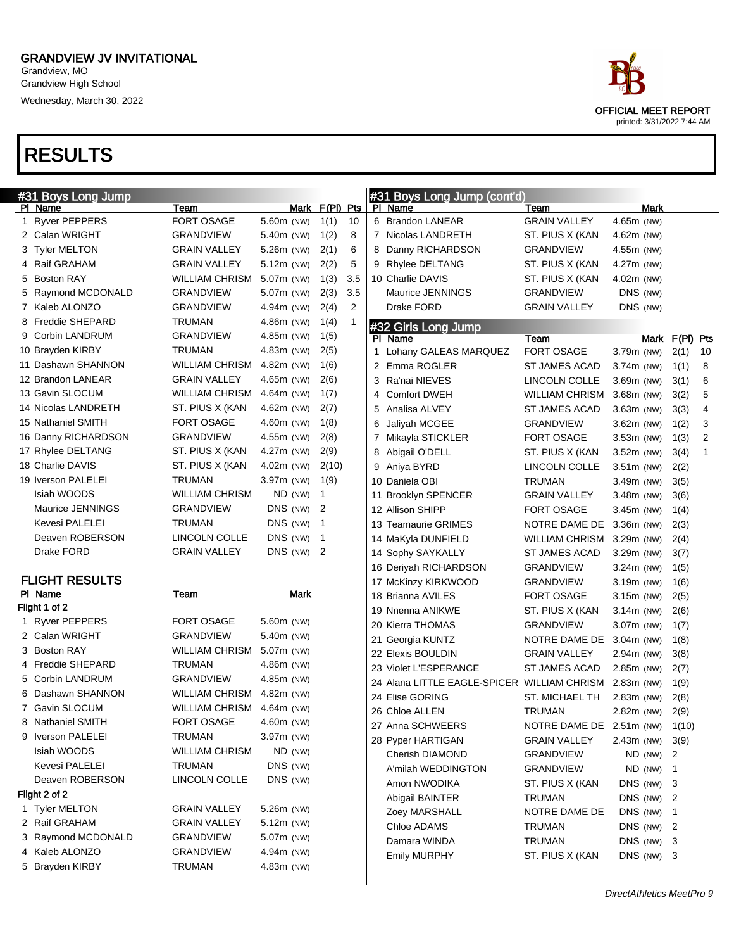Grandview High School Wednesday, March 30, 2022



|   | #31 Boys Long Jump    |                       |               |            |                |                |   | #31 Boys Long Jump (cont'd)                 |                                |              |                |    |
|---|-----------------------|-----------------------|---------------|------------|----------------|----------------|---|---------------------------------------------|--------------------------------|--------------|----------------|----|
|   | PI Name               | Team                  |               |            | Mark F(PI) Pts |                |   | PI Name                                     | Team                           | Mark         |                |    |
|   | 1 Ryver PEPPERS       | FORT OSAGE            | 5.60m (NW)    |            | 1(1)           | 10             |   | 6 Brandon LANEAR                            | <b>GRAIN VALLEY</b>            | 4.65m (NW)   |                |    |
|   | 2 Calan WRIGHT        | <b>GRANDVIEW</b>      | 5.40m (NW)    |            | 1(2)           | 8              |   | 7 Nicolas LANDRETH                          | ST. PIUS X (KAN                | 4.62m (NW)   |                |    |
|   | 3 Tyler MELTON        | GRAIN VALLEY          | 5.26m (NW)    |            | 2(1)           | 6              |   | 8 Danny RICHARDSON                          | <b>GRANDVIEW</b>               | 4.55m (NW)   |                |    |
| 4 | Raif GRAHAM           | <b>GRAIN VALLEY</b>   | 5.12m (NW)    |            | 2(2)           | 5              |   | 9 Rhylee DELTANG                            | ST. PIUS X (KAN                | 4.27m (NW)   |                |    |
|   | 5 Boston RAY          | <b>WILLIAM CHRISM</b> | 5.07m (NW)    |            | 1(3)           | 3.5            |   | 10 Charlie DAVIS                            | ST. PIUS X (KAN                | 4.02m (NW)   |                |    |
|   | 5 Raymond MCDONALD    | GRANDVIEW             | 5.07m (NW)    |            | 2(3)           | 3.5            |   | Maurice JENNINGS                            | <b>GRANDVIEW</b>               | DNS (NW)     |                |    |
|   | 7 Kaleb ALONZO        | GRANDVIEW             | 4.94m (NW)    |            | 2(4)           | $\overline{2}$ |   | Drake FORD                                  | <b>GRAIN VALLEY</b>            | DNS (NW)     |                |    |
|   | 8 Freddie SHEPARD     | TRUMAN                | 4.86m (NW)    |            | 1(4)           | 1              |   | #32 Girls Long Jump                         |                                |              |                |    |
|   | 9 Corbin LANDRUM      | GRANDVIEW             | 4.85m (NW)    |            | 1(5)           |                |   | PI Name                                     | Team                           | Mark         | $F(PI)$ Pts    |    |
|   | 10 Brayden KIRBY      | <b>TRUMAN</b>         | $4.83m$ (NW)  |            | 2(5)           |                | 1 | Lohany GALEAS MARQUEZ                       | <b>FORT OSAGE</b>              | 3.79m (NW)   | 2(1)           | 10 |
|   | 11 Dashawn SHANNON    | <b>WILLIAM CHRISM</b> | 4.82m (NW)    |            | 1(6)           |                |   | 2 Emma ROGLER                               | <b>ST JAMES ACAD</b>           | 3.74m (NW)   | 1(1)           | 8  |
|   | 12 Brandon LANEAR     | GRAIN VALLEY          | $4.65m$ (NW)  |            | 2(6)           |                |   | 3 Ra'nai NIEVES                             | LINCOLN COLLE                  | 3.69m (NW)   | 3(1)           | 6  |
|   | 13 Gavin SLOCUM       | <b>WILLIAM CHRISM</b> | 4.64 $m$ (NW) |            | 1(7)           |                | 4 | <b>Comfort DWEH</b>                         | <b>WILLIAM CHRISM</b>          | 3.68m (NW)   | 3(2)           | 5  |
|   | 14 Nicolas LANDRETH   | ST. PIUS X (KAN       | $4.62m$ (NW)  |            | 2(7)           |                | 5 | Analisa ALVEY                               | <b>ST JAMES ACAD</b>           | $3.63m$ (NW) | 3(3)           | 4  |
|   | 15 Nathaniel SMITH    | FORT OSAGE            | 4.60m (NW)    |            | 1(8)           |                | 6 | Jaliyah MCGEE                               | <b>GRANDVIEW</b>               | 3.62m (NW)   | 1(2)           | 3  |
|   | 16 Danny RICHARDSON   | <b>GRANDVIEW</b>      | 4.55m (NW)    |            | 2(8)           |                |   | 7 Mikayla STICKLER                          | <b>FORT OSAGE</b>              | $3.53m$ (NW) | 1(3)           | 2  |
|   | 17 Rhylee DELTANG     | ST. PIUS X (KAN       | 4.27m (NW)    |            | 2(9)           |                |   | 8 Abigail O'DELL                            | ST. PIUS X (KAN                | $3.52m$ (NW) | 3(4)           | 1  |
|   | 18 Charlie DAVIS      | ST. PIUS X (KAN       | $4.02m$ (NW)  |            | 2(10)          |                |   | 9 Aniya BYRD                                | LINCOLN COLLE                  | $3.51m$ (NW) | 2(2)           |    |
|   | 19 Iverson PALELEI    | TRUMAN                | 3.97m (NW)    |            | 1(9)           |                |   | 10 Daniela OBI                              | <b>TRUMAN</b>                  | 3.49m (NW)   | 3(5)           |    |
|   | Isiah WOODS           | <b>WILLIAM CHRISM</b> |               | ND (NW)    | $\mathbf{1}$   |                |   | 11 Brooklyn SPENCER                         | <b>GRAIN VALLEY</b>            | 3.48m (NW)   | 3(6)           |    |
|   | Maurice JENNINGS      | GRANDVIEW             |               | DNS (NW) 2 |                |                |   | 12 Allison SHIPP                            | <b>FORT OSAGE</b>              | 3.45m (NW)   | 1(4)           |    |
|   | <b>Kevesi PALELEI</b> | TRUMAN                | DNS (NW)      |            | $\overline{1}$ |                |   | 13 Teamaurie GRIMES                         | NOTRE DAME DE                  | $3.36m$ (NW) | 2(3)           |    |
|   | Deaven ROBERSON       | LINCOLN COLLE         | DNS (NW)      |            | $\overline{1}$ |                |   | 14 MaKyla DUNFIELD                          | <b>WILLIAM CHRISM</b>          | 3.29m (NW)   | 2(4)           |    |
|   | Drake FORD            | <b>GRAIN VALLEY</b>   |               | DNS (NW) 2 |                |                |   | 14 Sophy SAYKALLY                           | <b>ST JAMES ACAD</b>           | 3.29m (NW)   | 3(7)           |    |
|   |                       |                       |               |            |                |                |   | 16 Deriyah RICHARDSON                       | <b>GRANDVIEW</b>               | $3.24m$ (NW) | 1(5)           |    |
|   | <b>FLIGHT RESULTS</b> |                       |               |            |                |                |   | 17 McKinzy KIRKWOOD                         | <b>GRANDVIEW</b>               | 3.19m (NW)   | 1(6)           |    |
|   | PI Name               | Team                  |               | Mark       |                |                |   | 18 Brianna AVILES                           | <b>FORT OSAGE</b>              | 3.15m (NW)   | 2(5)           |    |
|   | Flight 1 of 2         |                       |               |            |                |                |   | 19 Nnenna ANIKWE                            | ST. PIUS X (KAN                | $3.14m$ (NW) | 2(6)           |    |
|   | 1 Ryver PEPPERS       | <b>FORT OSAGE</b>     | 5.60m (NW)    |            |                |                |   | 20 Kierra THOMAS                            | <b>GRANDVIEW</b>               | 3.07m (NW)   | 1(7)           |    |
|   | 2 Calan WRIGHT        | GRANDVIEW             | 5.40m (NW)    |            |                |                |   | 21 Georgia KUNTZ                            | NOTRE DAME DE                  | $3.04m$ (NW) | 1(8)           |    |
|   | 3 Boston RAY          | <b>WILLIAM CHRISM</b> | 5.07m (NW)    |            |                |                |   | 22 Elexis BOULDIN                           | <b>GRAIN VALLEY</b>            | 2.94m (NW)   | 3(8)           |    |
|   | 4 Freddie SHEPARD     | TRUMAN                | 4.86m (NW)    |            |                |                |   | 23 Violet L'ESPERANCE                       | <b>ST JAMES ACAD</b>           | 2.85m (NW)   | 2(7)           |    |
|   | 5 Corbin LANDRUM      | GRANDVIEW             | 4.85m (NW)    |            |                |                |   | 24 Alana LITTLE EAGLE-SPICER WILLIAM CHRISM |                                | $2.83m$ (NW) | 1(9)           |    |
|   | 6 Dashawn SHANNON     | WILLIAM CHRISM        | 4.82m (NW)    |            |                |                |   | 24 Elise GORING                             | ST. MICHAEL TH                 | $2.83m$ (NW) | 2(8)           |    |
|   | 7 Gavin SLOCUM        | WILLIAM CHRISM        | 4.64m (NW)    |            |                |                |   | 26 Chloe ALLEN                              | <b>TRUMAN</b>                  | 2.82m (NW)   | 2(9)           |    |
|   | 8 Nathaniel SMITH     | FORT OSAGE            | 4.60m (NW)    |            |                |                |   | 27 Anna SCHWEERS                            | NOTRE DAME DE 2.51m (NW) 1(10) |              |                |    |
|   | 9 Iverson PALELEI     | TRUMAN                | 3.97m (NW)    |            |                |                |   | 28 Pyper HARTIGAN                           | <b>GRAIN VALLEY</b>            | 2.43m (NW)   | 3(9)           |    |
|   | Isiah WOODS           | WILLIAM CHRISM        |               | ND (NW)    |                |                |   | <b>Cherish DIAMOND</b>                      | <b>GRANDVIEW</b>               | ND (NW)      | 2              |    |
|   | Kevesi PALELEI        | <b>TRUMAN</b>         | DNS (NW)      |            |                |                |   | A'milah WEDDINGTON                          | <b>GRANDVIEW</b>               | ND (NW)      | $\overline{1}$ |    |
|   | Deaven ROBERSON       | LINCOLN COLLE         | DNS (NW)      |            |                |                |   | Amon NWODIKA                                | ST. PIUS X (KAN                | DNS (NW) 3   |                |    |
|   | Flight 2 of 2         |                       |               |            |                |                |   | Abigail BAINTER                             | <b>TRUMAN</b>                  | DNS (NW) 2   |                |    |
|   | 1 Tyler MELTON        | <b>GRAIN VALLEY</b>   | 5.26m (NW)    |            |                |                |   | Zoey MARSHALL                               | NOTRE DAME DE                  | DNS (NW) 1   |                |    |
|   | 2 Raif GRAHAM         | GRAIN VALLEY          | 5.12m (NW)    |            |                |                |   | Chloe ADAMS                                 | <b>TRUMAN</b>                  | DNS (NW) 2   |                |    |
|   | 3 Raymond MCDONALD    | GRANDVIEW             | 5.07m (NW)    |            |                |                |   | Damara WINDA                                | <b>TRUMAN</b>                  | DNS (NW)     | -3             |    |
|   | 4 Kaleb ALONZO        | GRANDVIEW             | 4.94m (NW)    |            |                |                |   | <b>Emily MURPHY</b>                         | ST. PIUS X (KAN                | DNS $(NW)$ 3 |                |    |
|   | 5 Brayden KIRBY       | TRUMAN                | 4.83m (NW)    |            |                |                |   |                                             |                                |              |                |    |
|   |                       |                       |               |            |                |                |   |                                             |                                |              |                |    |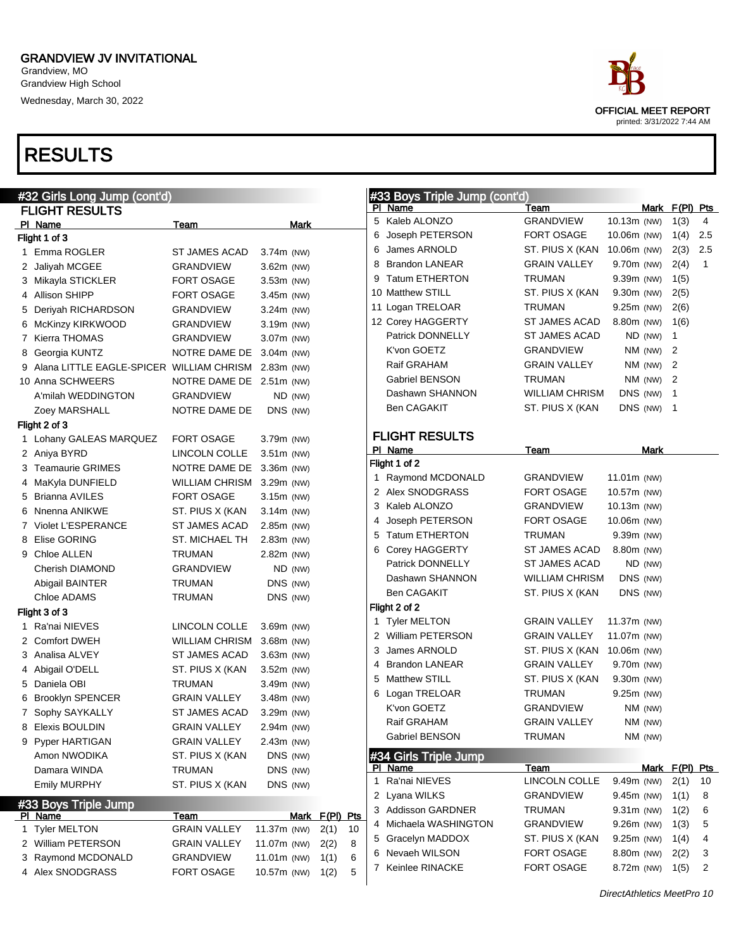Grandview, MO Grandview High School Wednesday, March 30, 2022

## OFFICIAL MEET REPORT printed: 3/31/2022 7:44 AM

|           | #32 Girls Long Jump (cont'd)               |                     |              |               |            | ŀ |
|-----------|--------------------------------------------|---------------------|--------------|---------------|------------|---|
|           | <b>FLIGHT RESULTS</b>                      |                     |              |               |            |   |
|           | PI Name                                    | <b>Team</b>         | <b>Mark</b>  |               |            |   |
|           | Flight 1 of 3                              |                     |              |               |            |   |
|           | 1 Emma ROGLER                              | ST JAMES ACAD       | $3.74m$ (NW) |               |            |   |
|           | 2 Jaliyah MCGEE                            | GRANDVIEW           | 3.62m (NW)   |               |            |   |
|           | 3 Mikayla STICKLER                         | <b>FORT OSAGE</b>   | $3.53m$ (NW) |               |            |   |
|           | 4 Allison SHIPP                            | <b>FORT OSAGE</b>   | $3.45m$ (NW) |               |            |   |
|           | 5 Deriyah RICHARDSON                       | GRANDVIEW           | 3.24m (NW)   |               |            |   |
|           | 6 McKinzy KIRKWOOD                         | GRANDVIEW           | 3.19m (NW)   |               |            |   |
|           | 7 Kierra THOMAS                            | <b>GRANDVIEW</b>    | 3.07m (NW)   |               |            |   |
|           | 8 Georgia KUNTZ                            | NOTRE DAME DE       | 3.04m (NW)   |               |            |   |
|           | 9 Alana LITTLE EAGLE-SPICER WILLIAM CHRISM |                     | 2.83m (NW)   |               |            |   |
|           | 10 Anna SCHWEERS                           | NOTRE DAME DE       | 2.51m (NW)   |               |            |   |
|           | A'milah WEDDINGTON                         | <b>GRANDVIEW</b>    | ND (NW)      |               |            |   |
|           | Zoey MARSHALL                              | NOTRE DAME DE       | DNS (NW)     |               |            |   |
|           | Flight 2 of 3                              |                     |              |               |            |   |
|           | 1 Lohany GALEAS MARQUEZ                    | <b>FORT OSAGE</b>   | 3.79m (NW)   |               |            |   |
|           | 2 Aniya BYRD                               | LINCOLN COLLE       | $3.51m$ (NW) |               |            |   |
|           | 3 Teamaurie GRIMES                         | NOTRE DAME DE       | 3.36m (NW)   |               |            | ľ |
|           | 4 MaKyla DUNFIELD                          | WILLIAM CHRISM      | 3.29m (NW)   |               |            |   |
|           | 5 Brianna AVILES                           | <b>FORT OSAGE</b>   | 3.15m (NW)   |               |            |   |
|           | 6 Nnenna ANIKWE                            | ST. PIUS X (KAN     | 3.14m (NW)   |               |            |   |
|           | 7 Violet L'ESPERANCE                       | ST JAMES ACAD       | 2.85m (NW)   |               |            |   |
|           | 8 Elise GORING                             | ST. MICHAEL TH      | 2.83m (NW)   |               |            |   |
|           | 9 Chloe ALLEN                              | <b>TRUMAN</b>       | 2.82m (NW)   |               |            |   |
|           | Cherish DIAMOND                            | <b>GRANDVIEW</b>    | ND (NW)      |               |            |   |
|           | Abigail BAINTER                            | TRUMAN              | DNS (NW)     |               |            |   |
|           | Chloe ADAMS                                | <b>TRUMAN</b>       | DNS (NW)     |               |            |   |
|           | Flight 3 of 3                              |                     |              |               |            | ľ |
|           | 1 Ra'nai NIEVES                            | LINCOLN COLLE       | 3.69m (NW)   |               |            |   |
|           | 2 Comfort DWEH                             | WILLIAM CHRISM      | 3.68m (NW)   |               |            |   |
|           | 3 Analisa ALVEY                            | ST JAMES ACAD       | 3.63m (NW)   |               |            |   |
|           | 4 Abigail O'DELL                           | ST. PIUS X (KAN     | 3.52m (NW)   |               |            |   |
|           | 5 Daniela OBI                              | <b>TRUMAN</b>       | 3.49m (NW)   |               |            |   |
|           | 6 Brooklyn SPENCER                         | <b>GRAIN VALLEY</b> | 3.48m (NW)   |               |            |   |
|           | 7 Sophy SAYKALLY                           | ST JAMES ACAD       | 3.29m (NW)   |               |            |   |
|           | 8 Elexis BOULDIN                           | <b>GRAIN VALLEY</b> | 2.94m (NW)   |               |            |   |
|           | 9 Pyper HARTIGAN                           | GRAIN VALLEY        | 2.43m (NW)   |               |            |   |
|           | Amon NWODIKA                               | ST. PIUS X (KAN     | DNS (NW)     |               |            |   |
|           | Damara WINDA                               | <b>TRUMAN</b>       | DNS (NW)     |               |            |   |
|           | Emily MURPHY                               | ST. PIUS X (KAN     | DNS (NW)     |               |            |   |
|           |                                            |                     |              |               |            |   |
| <u>PI</u> | #33 Boys Triple Jump<br>Name               | Team                |              | F(PI)<br>Mark | <u>Pts</u> |   |
| 1         | <b>Tyler MELTON</b>                        | <b>GRAIN VALLEY</b> | 11.37m (NW)  | 2(1)          | 10         |   |
| 2         | William PETERSON                           | <b>GRAIN VALLEY</b> | 11.07m (NW)  | 2(2)          | 8          |   |
| 3         | Raymond MCDONALD                           | GRANDVIEW           | 11.01m (NW)  | 1(1)          | 6          |   |
|           | 4 Alex SNODGRASS                           | FORT OSAGE          | 10.57m (NW)  | 1(2)          | 5          |   |
|           |                                            |                     |              |               |            |   |

|    | #33 Boys Triple Jump (cont'd) |                                 |                      |               |                  |                |
|----|-------------------------------|---------------------------------|----------------------|---------------|------------------|----------------|
|    | PI Name                       | Team                            |                      |               | Mark $F(PI)$ Pts |                |
|    | 5 Kaleb ALONZO                | GRANDVIEW                       | 10.13m (NW)          |               | 1(3)             | 4              |
|    | 6 Joseph PETERSON             | FORT OSAGE                      | 10.06m (NW)          |               | $1(4)$ 2.5       |                |
|    | 6 James ARNOLD                | ST. PIUS X (KAN                 | 10.06m (NW) 2(3) 2.5 |               |                  |                |
|    | 8 Brandon LANEAR              | <b>GRAIN VALLEY</b>             | $9.70m$ (NW) $2(4)$  |               |                  | $\overline{1}$ |
|    | 9 Tatum ETHERTON              | <b>TRUMAN</b>                   | 9.39m (NW)           |               | 1(5)             |                |
|    | 10 Matthew STILL              | ST. PIUS X (KAN 9.30m (NW) 2(5) |                      |               |                  |                |
|    | 11 Logan TRELOAR              | <b>TRUMAN</b>                   | $9.25m$ (NW) $2(6)$  |               |                  |                |
|    | 12 Corey HAGGERTY             | ST JAMES ACAD                   | 8.80m (NW)           |               | 1(6)             |                |
|    | Patrick DONNELLY              | ST JAMES ACAD                   |                      | ND (NW)       | 1                |                |
|    | K'von GOETZ                   | GRANDVIEW                       |                      | NM (NW)       | 2                |                |
|    | Raif GRAHAM                   | <b>GRAIN VALLEY</b>             |                      | $NM$ (NW) $2$ |                  |                |
|    | Gabriel BENSON                | TRUMAN                          |                      | $NM$ (NW) 2   |                  |                |
|    | Dashawn SHANNON               | WILLIAM CHRISM                  |                      | DNS (NW)      | 1                |                |
|    | <b>Ben CAGAKIT</b>            | ST. PIUS X (KAN                 |                      | DNS (NW)      | 1                |                |
|    |                               |                                 |                      |               |                  |                |
|    | <b>FLIGHT RESULTS</b>         |                                 |                      |               |                  |                |
|    | PI Name                       | Team                            |                      | Mark          |                  |                |
|    | Flight 1 of 2                 |                                 |                      |               |                  |                |
|    | Raymond MCDONALD<br>1         | GRANDVIEW                       | 11.01 $m$ (NW)       |               |                  |                |
|    | 2 Alex SNODGRASS              | FORT OSAGE                      | 10.57m (NW)          |               |                  |                |
|    | 3 Kaleb ALONZO                | GRANDVIEW                       | 10.13m (NW)          |               |                  |                |
|    | 4 Joseph PETERSON             | FORT OSAGE                      | 10.06m (NW)          |               |                  |                |
|    | 5 Tatum ETHERTON              | TRUMAN                          | 9.39m (NW)           |               |                  |                |
|    | 6 Corey HAGGERTY              | ST JAMES ACAD                   | 8.80m (NW)           |               |                  |                |
|    | Patrick DONNELLY              | ST JAMES ACAD                   |                      | ND (NW)       |                  |                |
|    | Dashawn SHANNON               | WILLIAM CHRISM                  | DNS (NW)             |               |                  |                |
|    | Ben CAGAKIT                   | ST. PIUS X (KAN                 | DNS (NW)             |               |                  |                |
|    | Flight 2 of 2                 |                                 |                      |               |                  |                |
|    | 1 Tyler MELTON                | GRAIN VALLEY                    | 11.37m (NW)          |               |                  |                |
|    | 2 William PETERSON            | GRAIN VALLEY                    | 11.07m (NW)          |               |                  |                |
|    | 3 James ARNOLD                | ST. PIUS X (KAN                 | 10.06m (NW)          |               |                  |                |
|    | 4 Brandon LANEAR              | GRAIN VALLEY                    | 9.70m (NW)           |               |                  |                |
|    | 5 Matthew STILL               | ST. PIUS X (KAN                 | $9.30m$ (NW)         |               |                  |                |
|    | 6 Logan TRELOAR               | TRUMAN                          | $9.25m$ (NW)         |               |                  |                |
|    | K'von GOETZ                   | GRANDVIEW                       |                      | NM (NW)       |                  |                |
|    | Raif GRAHAM                   | <b>GRAIN VALLEY</b>             |                      | NM (NW)       |                  |                |
|    | Gabriel BENSON                | TRUMAN                          |                      | NM (NW)       |                  |                |
|    | #34 Girls Triple Jump         |                                 |                      |               |                  |                |
| ΡI | Name                          | <u>Team</u>                     |                      | <u>Mark</u>   | <u>F(PI)</u>     | Pts            |
| 1  | Ra'nai NIEVES                 | LINCOLN COLLE                   | 9.49m (NW)           |               | 2(1)             | 10             |
|    | 2 Lyana WILKS                 | <b>GRANDVIEW</b>                | 9.45m (NW)           |               | 1(1)             | 8              |
|    | 3 Addisson GARDNER            | <b>TRUMAN</b>                   | 9.31m (NW)           |               | 1(2)             | 6              |
| ts | Michaela WASHINGTON<br>4      | GRANDVIEW                       | 9.26m (NW)           |               | 1(3)             | 5              |
|    | 5 Gracelyn MADDOX             | ST. PIUS X (KAN                 | $9.25m$ (NW)         |               | 1(4)             | 4              |
|    | 6 Nevaeh WILSON               | FORT OSAGE                      | 8.80m (NW)           |               | 2(2)             | 3              |
| 7  | Keinlee RINACKE               | FORT OSAGE                      | 8.72m (NW)           |               | 1(5)             | 2              |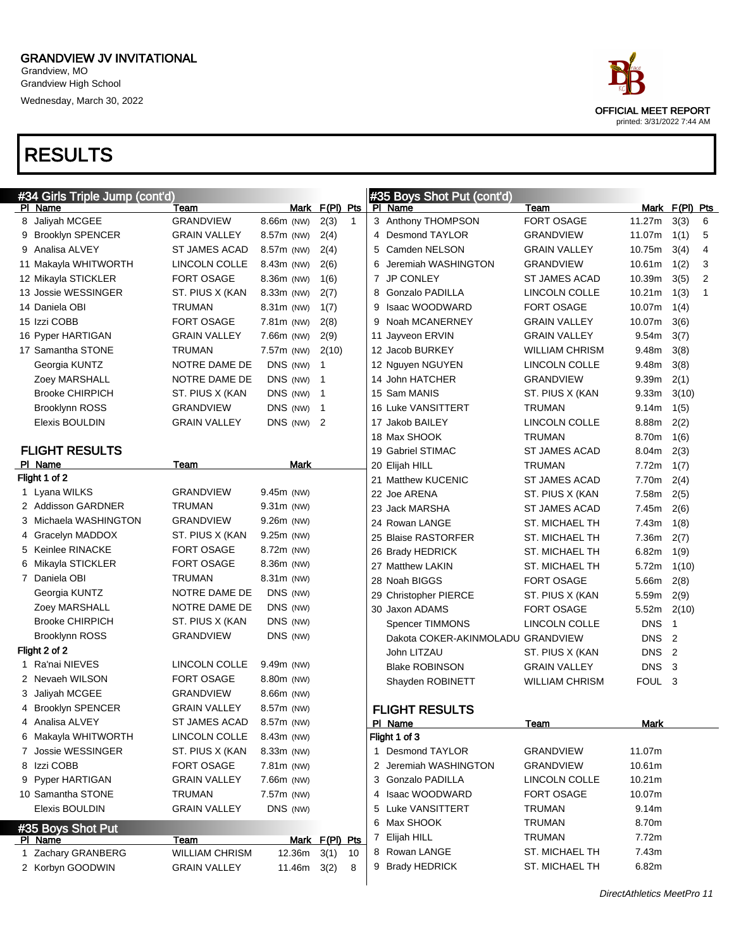Grandview, MO Grandview High School Wednesday, March 30, 2022

| #34 Girls Triple Jump (cont'd) |                          |              |                 |                          |              |   | #35 Boys Shot Put (cont'd)        |                       |                   |                |              |
|--------------------------------|--------------------------|--------------|-----------------|--------------------------|--------------|---|-----------------------------------|-----------------------|-------------------|----------------|--------------|
| PI Name                        | Team                     |              |                 | Mark F(PI) Pts           |              |   | PI Name                           | <b>Team</b>           |                   | Mark F(PI) Pts |              |
| 8 Jaliyah MCGEE                | <b>GRANDVIEW</b>         | 8.66m (NW)   |                 | 2(3)                     | $\mathbf{1}$ |   | 3 Anthony THOMPSON                | <b>FORT OSAGE</b>     | 11.27m            | 3(3)           | 6            |
| 9 Brooklyn SPENCER             | <b>GRAIN VALLEY</b>      | 8.57m (NW)   |                 | 2(4)                     |              | 4 | <b>Desmond TAYLOR</b>             | <b>GRANDVIEW</b>      | 11.07m            | 1(1)           | 5            |
| 9 Analisa ALVEY                | ST JAMES ACAD            | 8.57m (NW)   |                 | 2(4)                     |              |   | 5 Camden NELSON                   | <b>GRAIN VALLEY</b>   | 10.75m            | 3(4)           | 4            |
| 11 Makayla WHITWORTH           | LINCOLN COLLE            | 8.43m (NW)   |                 | 2(6)                     |              | 6 | Jeremiah WASHINGTON               | <b>GRANDVIEW</b>      | 10.61m            | 1(2)           | 3            |
| 12 Mikayla STICKLER            | FORT OSAGE               | 8.36m (NW)   |                 | 1(6)                     |              |   | 7 JP CONLEY                       | <b>ST JAMES ACAD</b>  | 10.39m            | 3(5)           | 2            |
| 13 Jossie WESSINGER            | ST. PIUS X (KAN          | 8.33m (NW)   |                 | 2(7)                     |              |   | 8 Gonzalo PADILLA                 | LINCOLN COLLE         | 10.21m            | 1(3)           | $\mathbf{1}$ |
| 14 Daniela OBI                 | TRUMAN                   | 8.31m (NW)   |                 | 1(7)                     |              | 9 | Isaac WOODWARD                    | <b>FORT OSAGE</b>     | 10.07m            | 1(4)           |              |
| 15 Izzi COBB                   | <b>FORT OSAGE</b>        | $7.81m$ (NW) |                 | 2(8)                     |              |   | 9 Noah MCANERNEY                  | <b>GRAIN VALLEY</b>   | 10.07m            | 3(6)           |              |
| 16 Pyper HARTIGAN              | <b>GRAIN VALLEY</b>      | 7.66m (NW)   |                 | 2(9)                     |              |   | 11 Jayveon ERVIN                  | <b>GRAIN VALLEY</b>   | 9.54m             | 3(7)           |              |
| 17 Samantha STONE              | TRUMAN                   | 7.57m (NW)   |                 | 2(10)                    |              |   | 12 Jacob BURKEY                   | <b>WILLIAM CHRISM</b> | 9.48m             | 3(8)           |              |
| Georgia KUNTZ                  | NOTRE DAME DE            | DNS (NW)     |                 | $\overline{1}$           |              |   | 12 Nguyen NGUYEN                  | LINCOLN COLLE         | 9.48m             | 3(8)           |              |
| Zoey MARSHALL                  | NOTRE DAME DE            | DNS (NW)     |                 | $\overline{\phantom{1}}$ |              |   | 14 John HATCHER                   | <b>GRANDVIEW</b>      | 9.39m             | 2(1)           |              |
| <b>Brooke CHIRPICH</b>         | ST. PIUS X (KAN          | DNS (NW)     |                 | $\overline{1}$           |              |   | 15 Sam MANIS                      | ST. PIUS X (KAN       | 9.33 <sub>m</sub> | 3(10)          |              |
| <b>Brooklynn ROSS</b>          | <b>GRANDVIEW</b>         | DNS (NW)     |                 | $\overline{1}$           |              |   | <b>16 Luke VANSITTERT</b>         | <b>TRUMAN</b>         | 9.14m             | 1(5)           |              |
| Elexis BOULDIN                 | <b>GRAIN VALLEY</b>      | DNS (NW) 2   |                 |                          |              |   | 17 Jakob BAILEY                   | LINCOLN COLLE         | 8.88m             | 2(2)           |              |
|                                |                          |              |                 |                          |              |   | 18 Max SHOOK                      | <b>TRUMAN</b>         | 8.70m             | 1(6)           |              |
| <b>FLIGHT RESULTS</b>          |                          |              |                 |                          |              |   | 19 Gabriel STIMAC                 | <b>ST JAMES ACAD</b>  | 8.04m             | 2(3)           |              |
| PI Name                        | Team                     |              | <b>Mark</b>     |                          |              |   | 20 Elijah HILL                    | <b>TRUMAN</b>         | 7.72m             | 1(7)           |              |
| Flight 1 of 2                  |                          |              |                 |                          |              |   | 21 Matthew KUCENIC                | <b>ST JAMES ACAD</b>  | 7.70m             | 2(4)           |              |
| 1 Lyana WILKS                  | <b>GRANDVIEW</b>         | 9.45m (NW)   |                 |                          |              |   | 22 Joe ARENA                      | ST. PIUS X (KAN       | 7.58m             | 2(5)           |              |
| 2 Addisson GARDNER             | TRUMAN                   | $9.31m$ (NW) |                 |                          |              |   | 23 Jack MARSHA                    | <b>ST JAMES ACAD</b>  | 7.45m             | 2(6)           |              |
| 3 Michaela WASHINGTON          | <b>GRANDVIEW</b>         | 9.26m (NW)   |                 |                          |              |   | 24 Rowan LANGE                    | ST. MICHAEL TH        | 7.43m             | 1(8)           |              |
| 4 Gracelyn MADDOX              | ST. PIUS X (KAN          | 9.25m (NW)   |                 |                          |              |   | 25 Blaise RASTORFER               | ST. MICHAEL TH        | 7.36m             | 2(7)           |              |
| 5 Keinlee RINACKE              | <b>FORT OSAGE</b>        | 8.72m (NW)   |                 |                          |              |   | 26 Brady HEDRICK                  | ST. MICHAEL TH        | 6.82m             | 1(9)           |              |
| 6 Mikayla STICKLER             | <b>FORT OSAGE</b>        | 8.36m (NW)   |                 |                          |              |   | 27 Matthew LAKIN                  | ST. MICHAEL TH        | 5.72m             | 1(10)          |              |
| 7 Daniela OBI                  | <b>TRUMAN</b>            | 8.31m (NW)   |                 |                          |              |   | 28 Noah BIGGS                     | <b>FORT OSAGE</b>     | 5.66m             | 2(8)           |              |
| Georgia KUNTZ                  | NOTRE DAME DE            | DNS (NW)     |                 |                          |              |   | 29 Christopher PIERCE             | ST. PIUS X (KAN       | 5.59m             | 2(9)           |              |
| Zoey MARSHALL                  | NOTRE DAME DE            | DNS (NW)     |                 |                          |              |   | 30 Jaxon ADAMS                    | <b>FORT OSAGE</b>     | 5.52m             | 2(10)          |              |
| <b>Brooke CHIRPICH</b>         | ST. PIUS X (KAN          | DNS (NW)     |                 |                          |              |   | Spencer TIMMONS                   | LINCOLN COLLE         | <b>DNS</b>        | $\overline{1}$ |              |
| <b>Brooklynn ROSS</b>          | <b>GRANDVIEW</b>         | DNS (NW)     |                 |                          |              |   | Dakota COKER-AKINMOLADU GRANDVIEW |                       | DNS <sub>2</sub>  |                |              |
| Flight 2 of 2                  |                          |              |                 |                          |              |   | John LITZAU                       | ST. PIUS X (KAN       | DNS <sub>2</sub>  |                |              |
| 1 Ra'nai NIEVES                | LINCOLN COLLE            | 9.49m (NW)   |                 |                          |              |   | <b>Blake ROBINSON</b>             | <b>GRAIN VALLEY</b>   | DNS 3             |                |              |
| 2 Nevaeh WILSON                | FORT OSAGE               | 8.80m (NW)   |                 |                          |              |   | Shayden ROBINETT                  | <b>WILLIAM CHRISM</b> | FOUL 3            |                |              |
| 3 Jaliyah MCGEE                | <b>GRANDVIEW</b>         | 8.66m (NW)   |                 |                          |              |   |                                   |                       |                   |                |              |
| 4 Brooklyn SPENCER             | <b>GRAIN VALLEY</b>      | 8.57m (NW)   |                 |                          |              |   | <b>FLIGHT RESULTS</b>             |                       |                   |                |              |
| 4 Analisa ALVEY                | ST JAMES ACAD            | 8.57m (NW)   |                 |                          |              |   | PI Name                           | <u>Team</u>           | <b>Mark</b>       |                |              |
| 6 Makayla WHITWORTH            | LINCOLN COLLE 8.43m (NW) |              |                 |                          |              |   | Flight 1 of 3                     |                       |                   |                |              |
| 7 Jossie WESSINGER             | ST. PIUS X (KAN          | 8.33m (NW)   |                 |                          |              |   | 1 Desmond TAYLOR                  | GRANDVIEW             | 11.07m            |                |              |
| 8 Izzi COBB                    | FORT OSAGE               | 7.81m (NW)   |                 |                          |              |   | 2 Jeremiah WASHINGTON             | GRANDVIEW             | 10.61m            |                |              |
| 9 Pyper HARTIGAN               | <b>GRAIN VALLEY</b>      | 7.66m (NW)   |                 |                          |              |   | 3 Gonzalo PADILLA                 | LINCOLN COLLE         | 10.21m            |                |              |
| 10 Samantha STONE              | <b>TRUMAN</b>            | 7.57m (NW)   |                 |                          |              |   | 4 Isaac WOODWARD                  | <b>FORT OSAGE</b>     | 10.07m            |                |              |
| Elexis BOULDIN                 | <b>GRAIN VALLEY</b>      | DNS (NW)     |                 |                          |              |   | 5 Luke VANSITTERT                 | <b>TRUMAN</b>         | 9.14m             |                |              |
| #35 Boys Shot Put              |                          |              |                 |                          |              |   | 6 Max SHOOK                       | <b>TRUMAN</b>         | 8.70m             |                |              |
| PI Name                        | Team                     |              |                 | Mark F(PI) Pts           |              |   | 7 Elijah HILL                     | <b>TRUMAN</b>         | 7.72m             |                |              |
| 1 Zachary GRANBERG             | <b>WILLIAM CHRISM</b>    |              | $12.36m$ $3(1)$ |                          | 10           |   | 8 Rowan LANGE                     | ST. MICHAEL TH        | 7.43m             |                |              |
| 2 Korbyn GOODWIN               | <b>GRAIN VALLEY</b>      |              | $11.46m$ 3(2)   |                          | 8            |   | 9 Brady HEDRICK                   | ST. MICHAEL TH        | 6.82m             |                |              |
|                                |                          |              |                 |                          |              |   |                                   |                       |                   |                |              |

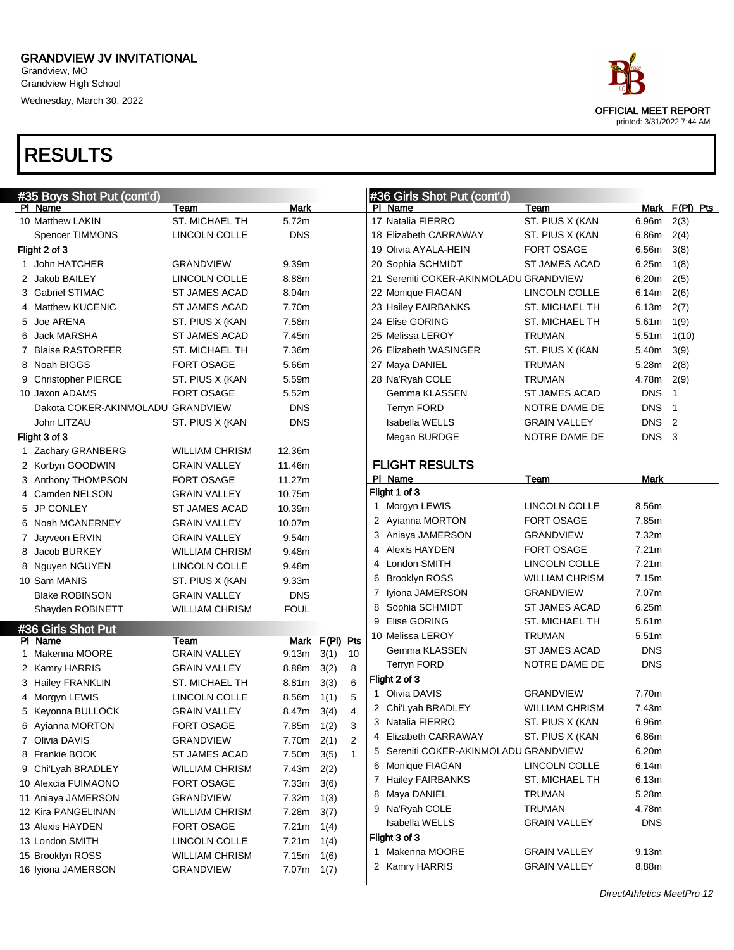Grandview, MO Grandview High School Wednesday, March 30, 2022

| ace.                       |
|----------------------------|
| OFFICIAL MEET REPORT       |
| printed: 3/31/2022 7:44 AM |

|             | #35 Boys Shot Put (cont'd)        |                       |                |      |                         |   | #36 Girls Shot Put (cont'd)            |                       |                   |                |
|-------------|-----------------------------------|-----------------------|----------------|------|-------------------------|---|----------------------------------------|-----------------------|-------------------|----------------|
|             | PI Name                           | Team                  | <b>Mark</b>    |      |                         |   | PI Name                                | Team                  |                   | Mark F(PI) Pts |
|             | 10 Matthew LAKIN                  | ST. MICHAEL TH        | 5.72m          |      |                         |   | 17 Natalia FIERRO                      | ST. PIUS X (KAN       | 6.96m             | 2(3)           |
|             | <b>Spencer TIMMONS</b>            | LINCOLN COLLE         | <b>DNS</b>     |      |                         |   | 18 Elizabeth CARRAWAY                  | ST. PIUS X (KAN       | 6.86m             | 2(4)           |
|             | Flight 2 of 3                     |                       |                |      |                         |   | 19 Olivia AYALA-HEIN                   | <b>FORT OSAGE</b>     | 6.56m             | 3(8)           |
|             | 1 John HATCHER                    | GRANDVIEW             | 9.39m          |      |                         |   | 20 Sophia SCHMIDT                      | <b>ST JAMES ACAD</b>  | 6.25m             | 1(8)           |
|             | 2 Jakob BAILEY                    | LINCOLN COLLE         | 8.88m          |      |                         |   | 21 Sereniti COKER-AKINMOLADU GRANDVIEW |                       | 6.20m             | 2(5)           |
|             | 3 Gabriel STIMAC                  | ST JAMES ACAD         | 8.04m          |      |                         |   | 22 Monique FIAGAN                      | LINCOLN COLLE         | 6.14m             | 2(6)           |
|             | 4 Matthew KUCENIC                 | <b>ST JAMES ACAD</b>  | 7.70m          |      |                         |   | 23 Hailey FAIRBANKS                    | ST. MICHAEL TH        | 6.13m             | 2(7)           |
|             | 5 Joe ARENA                       | ST. PIUS X (KAN       | 7.58m          |      |                         |   | 24 Elise GORING                        | ST. MICHAEL TH        | 5.61m             | 1(9)           |
|             | 6 Jack MARSHA                     | ST JAMES ACAD         | 7.45m          |      |                         |   | 25 Melissa LEROY                       | <b>TRUMAN</b>         | 5.51m             | 1(10)          |
|             | 7 Blaise RASTORFER                | <b>ST. MICHAEL TH</b> | 7.36m          |      |                         |   | 26 Elizabeth WASINGER                  | ST. PIUS X (KAN       | 5.40m             | 3(9)           |
|             | 8 Noah BIGGS                      | <b>FORT OSAGE</b>     | 5.66m          |      |                         |   | 27 Maya DANIEL                         | TRUMAN                | 5.28m             | 2(8)           |
|             | 9 Christopher PIERCE              | ST. PIUS X (KAN       | 5.59m          |      |                         |   | 28 Na'Ryah COLE                        | <b>TRUMAN</b>         | 4.78m 2(9)        |                |
|             | 10 Jaxon ADAMS                    | <b>FORT OSAGE</b>     | 5.52m          |      |                         |   | Gemma KLASSEN                          | <b>ST JAMES ACAD</b>  | DNS <sub>1</sub>  |                |
|             | Dakota COKER-AKINMOLADU GRANDVIEW |                       | <b>DNS</b>     |      |                         |   | <b>Terryn FORD</b>                     | NOTRE DAME DE         | DNS <sub>1</sub>  |                |
|             | John LITZAU                       | ST. PIUS X (KAN       | <b>DNS</b>     |      |                         |   | Isabella WELLS                         | <b>GRAIN VALLEY</b>   | DNS <sub>2</sub>  |                |
|             | Flight 3 of 3                     |                       |                |      |                         |   | Megan BURDGE                           | NOTRE DAME DE         | DNS 3             |                |
|             | 1 Zachary GRANBERG                | WILLIAM CHRISM        | 12.36m         |      |                         |   |                                        |                       |                   |                |
|             | 2 Korbyn GOODWIN                  | <b>GRAIN VALLEY</b>   | 11.46m         |      |                         |   | <b>FLIGHT RESULTS</b>                  |                       |                   |                |
|             | 3 Anthony THOMPSON                | <b>FORT OSAGE</b>     | 11.27m         |      |                         |   | PI Name                                | Team                  | Mark              |                |
|             | 4 Camden NELSON                   | <b>GRAIN VALLEY</b>   | 10.75m         |      |                         |   | Flight 1 of 3                          |                       |                   |                |
|             | 5 JP CONLEY                       | ST JAMES ACAD         | 10.39m         |      |                         |   | 1 Morgyn LEWIS                         | LINCOLN COLLE         | 8.56m             |                |
|             | 6 Noah MCANERNEY                  | <b>GRAIN VALLEY</b>   | 10.07m         |      |                         |   | Ayianna MORTON                         | FORT OSAGE            | 7.85m             |                |
|             | 7 Jayveon ERVIN                   | <b>GRAIN VALLEY</b>   | 9.54m          |      |                         | 3 | Aniaya JAMERSON                        | <b>GRANDVIEW</b>      | 7.32m             |                |
|             | 8 Jacob BURKEY                    | <b>WILLIAM CHRISM</b> | 9.48m          |      |                         | 4 | Alexis HAYDEN                          | <b>FORT OSAGE</b>     | 7.21 <sub>m</sub> |                |
|             | 8 Nguyen NGUYEN                   | LINCOLN COLLE         | 9.48m          |      |                         | 4 | London SMITH                           | LINCOLN COLLE         | 7.21 <sub>m</sub> |                |
|             | 10 Sam MANIS                      | ST. PIUS X (KAN       | 9.33m          |      |                         | 6 | <b>Brooklyn ROSS</b>                   | <b>WILLIAM CHRISM</b> | 7.15m             |                |
|             | <b>Blake ROBINSON</b>             | <b>GRAIN VALLEY</b>   | <b>DNS</b>     |      |                         | 7 | Iyiona JAMERSON                        | <b>GRANDVIEW</b>      | 7.07m             |                |
|             | Shayden ROBINETT                  | <b>WILLIAM CHRISM</b> | <b>FOUL</b>    |      |                         | 8 | Sophia SCHMIDT                         | <b>ST JAMES ACAD</b>  | 6.25m             |                |
|             | #36 Girls Shot Put                |                       |                |      |                         | 9 | <b>Elise GORING</b>                    | ST. MICHAEL TH        | 5.61m             |                |
|             | PI Name                           | Team                  | Mark F(PI) Pts |      |                         |   | 10 Melissa LEROY                       | <b>TRUMAN</b>         | 5.51 <sub>m</sub> |                |
| $\mathbf 1$ | Makenna MOORE                     | <b>GRAIN VALLEY</b>   | 9.13m          | 3(1) | 10                      |   | Gemma KLASSEN                          | <b>ST JAMES ACAD</b>  | <b>DNS</b>        |                |
|             | 2 Kamry HARRIS                    | <b>GRAIN VALLEY</b>   | 8.88m          | 3(2) | 8                       |   | <b>Terryn FORD</b>                     | NOTRE DAME DE         | <b>DNS</b>        |                |
|             | 3 Hailey FRANKLIN                 | ST. MICHAEL TH        | 8.81m          | 3(3) | 6                       |   | Flight 2 of 3                          |                       |                   |                |
|             | 4 Morgyn LEWIS                    | LINCOLN COLLE         | 8.56m          | 1(1) | 5                       |   | 1 Olivia DAVIS                         | <b>GRANDVIEW</b>      | 7.70m             |                |
|             | 5 Keyonna BULLOCK                 | <b>GRAIN VALLEY</b>   | 8.47m          | 3(4) | $\overline{\mathbf{4}}$ |   | 2 Chi'Lyah BRADLEY                     | <b>WILLIAM CHRISM</b> | 7.43m             |                |
|             | 6 Ayianna MORTON                  | <b>FORT OSAGE</b>     | $7.85m$ 1(2)   |      | 3                       |   | 3 Natalia FIERRO                       | ST. PIUS X (KAN       | 6.96m             |                |
|             | 7 Olivia DAVIS                    | <b>GRANDVIEW</b>      | 7.70m          | 2(1) | $\overline{2}$          | 4 | Elizabeth CARRAWAY                     | ST. PIUS X (KAN       | 6.86m             |                |
|             | 8 Frankie BOOK                    | ST JAMES ACAD         | 7.50m          | 3(5) | $\mathbf{1}$            |   | 5 Sereniti COKER-AKINMOLADU GRANDVIEW  |                       | 6.20m             |                |
|             | 9 Chi'Lyah BRADLEY                | WILLIAM CHRISM        | 7.43m          | 2(2) |                         |   | 6 Monique FIAGAN                       | <b>LINCOLN COLLE</b>  | 6.14m             |                |
|             | 10 Alexcia FUIMAONO               | <b>FORT OSAGE</b>     | 7.33m          | 3(6) |                         | 7 | <b>Hailey FAIRBANKS</b>                | ST. MICHAEL TH        | 6.13m             |                |
|             | 11 Aniaya JAMERSON                | GRANDVIEW             | 7.32m          | 1(3) |                         | 8 | Maya DANIEL                            | TRUMAN                | 5.28m             |                |
|             | 12 Kira PANGELINAN                | WILLIAM CHRISM        | 7.28m          | 3(7) |                         |   | 9 Na'Ryah COLE                         | TRUMAN                | 4.78m             |                |
|             | 13 Alexis HAYDEN                  | FORT OSAGE            | 7.21m          | 1(4) |                         |   | Isabella WELLS                         | GRAIN VALLEY          | <b>DNS</b>        |                |
|             | 13 London SMITH                   | LINCOLN COLLE         | 7.21m          | 1(4) |                         |   | Flight 3 of 3                          |                       |                   |                |
|             | 15 Brooklyn ROSS                  | WILLIAM CHRISM        | 7.15m          | 1(6) |                         | 1 | Makenna MOORE                          | <b>GRAIN VALLEY</b>   | 9.13m             |                |
|             | 16 Iyiona JAMERSON                | GRANDVIEW             | 7.07m          | 1(7) |                         |   | 2 Kamry HARRIS                         | <b>GRAIN VALLEY</b>   | 8.88m             |                |
|             |                                   |                       |                |      |                         |   |                                        |                       |                   |                |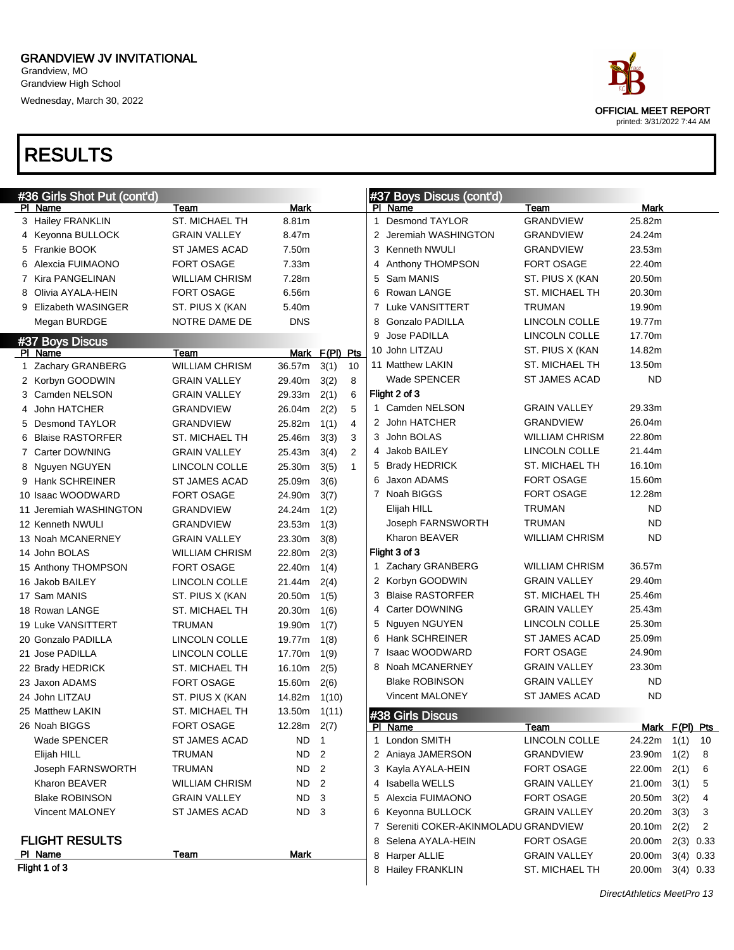Grandview, MO Grandview High School Wednesday, March 30, 2022

# OFFICIAL MEET REPORT printed: 3/31/2022 7:44 AM

| #36 Girls Shot Put (cont'd) |                       |                 |                |              |   | #37 Boys Discus (cont'd)              |                       |                |             |             |
|-----------------------------|-----------------------|-----------------|----------------|--------------|---|---------------------------------------|-----------------------|----------------|-------------|-------------|
| PI Name                     | Team                  | Mark            |                |              |   | PI Name                               | Team                  | Mark           |             |             |
| 3 Hailey FRANKLIN           | <b>ST. MICHAEL TH</b> | 8.81m           |                |              | 1 | <b>Desmond TAYLOR</b>                 | GRANDVIEW             | 25.82m         |             |             |
| 4 Keyonna BULLOCK           | <b>GRAIN VALLEY</b>   | 8.47m           |                |              |   | 2 Jeremiah WASHINGTON                 | GRANDVIEW             | 24.24m         |             |             |
| 5 Frankie BOOK              | ST JAMES ACAD         | 7.50m           |                |              |   | 3 Kenneth NWULI                       | GRANDVIEW             | 23.53m         |             |             |
| 6 Alexcia FUIMAONO          | <b>FORT OSAGE</b>     | 7.33m           |                |              | 4 | Anthony THOMPSON                      | FORT OSAGE            | 22.40m         |             |             |
| 7 Kira PANGELINAN           | <b>WILLIAM CHRISM</b> | 7.28m           |                |              | 5 | Sam MANIS                             | ST. PIUS X (KAN       | 20.50m         |             |             |
| 8 Olivia AYALA-HEIN         | <b>FORT OSAGE</b>     | 6.56m           |                |              | 6 | Rowan LANGE                           | ST. MICHAEL TH        | 20.30m         |             |             |
| 9 Elizabeth WASINGER        | ST. PIUS X (KAN       | 5.40m           |                |              |   | 7 Luke VANSITTERT                     | TRUMAN                | 19.90m         |             |             |
| Megan BURDGE                | NOTRE DAME DE         | <b>DNS</b>      |                |              | 8 | Gonzalo PADILLA                       | LINCOLN COLLE         | 19.77m         |             |             |
| #37 Boys Discus             |                       |                 |                |              | 9 | Jose PADILLA                          | LINCOLN COLLE         | 17.70m         |             |             |
| PI Name                     | Team                  |                 | Mark F(PI) Pts |              |   | 10 John LITZAU                        | ST. PIUS X (KAN       | 14.82m         |             |             |
| 1 Zachary GRANBERG          | <b>WILLIAM CHRISM</b> | 36.57m          | 3(1)           | 10           |   | 11 Matthew LAKIN                      | ST. MICHAEL TH        | 13.50m         |             |             |
| 2 Korbyn GOODWIN            | <b>GRAIN VALLEY</b>   | 29.40m          | 3(2)           | 8            |   | Wade SPENCER                          | ST JAMES ACAD         | <b>ND</b>      |             |             |
| 3 Camden NELSON             | <b>GRAIN VALLEY</b>   | 29.33m          | 2(1)           | 6            |   | Flight 2 of 3                         |                       |                |             |             |
| 4 John HATCHER              | <b>GRANDVIEW</b>      | 26.04m          | 2(2)           | 5            |   | 1 Camden NELSON                       | <b>GRAIN VALLEY</b>   | 29.33m         |             |             |
| 5 Desmond TAYLOR            | <b>GRANDVIEW</b>      | 25.82m          | 1(1)           | 4            |   | 2 John HATCHER                        | GRANDVIEW             | 26.04m         |             |             |
| 6 Blaise RASTORFER          | ST. MICHAEL TH        | 25.46m          | 3(3)           | 3            |   | 3 John BOLAS                          | <b>WILLIAM CHRISM</b> | 22.80m         |             |             |
| 7 Carter DOWNING            | <b>GRAIN VALLEY</b>   | 25.43m          | 3(4)           | 2            |   | 4 Jakob BAILEY                        | LINCOLN COLLE         | 21.44m         |             |             |
| 8 Nguyen NGUYEN             | LINCOLN COLLE         | 25.30m          | 3(5)           | $\mathbf{1}$ |   | 5 Brady HEDRICK                       | ST. MICHAEL TH        | 16.10m         |             |             |
| 9 Hank SCHREINER            | <b>ST JAMES ACAD</b>  | 25.09m          | 3(6)           |              | 6 | Jaxon ADAMS                           | FORT OSAGE            | 15.60m         |             |             |
| 10 Isaac WOODWARD           | FORT OSAGE            | 24.90m          | 3(7)           |              |   | 7 Noah BIGGS                          | FORT OSAGE            | 12.28m         |             |             |
| 11 Jeremiah WASHINGTON      | GRANDVIEW             | 24.24m          | 1(2)           |              |   | Elijah HILL                           | TRUMAN                | <b>ND</b>      |             |             |
| 12 Kenneth NWULI            | <b>GRANDVIEW</b>      | 23.53m          | 1(3)           |              |   | Joseph FARNSWORTH                     | TRUMAN                | <b>ND</b>      |             |             |
| 13 Noah MCANERNEY           | <b>GRAIN VALLEY</b>   | 23.30m          | 3(8)           |              |   | Kharon BEAVER                         | <b>WILLIAM CHRISM</b> | <b>ND</b>      |             |             |
| 14 John BOLAS               | <b>WILLIAM CHRISM</b> | 22.80m          | 2(3)           |              |   | Flight 3 of 3                         |                       |                |             |             |
| 15 Anthony THOMPSON         | FORT OSAGE            | 22.40m          | 1(4)           |              |   | 1 Zachary GRANBERG                    | <b>WILLIAM CHRISM</b> | 36.57m         |             |             |
| 16 Jakob BAILEY             | LINCOLN COLLE         | 21.44m          | 2(4)           |              |   | 2 Korbyn GOODWIN                      | GRAIN VALLEY          | 29.40m         |             |             |
| 17 Sam MANIS                | ST. PIUS X (KAN       | 20.50m          | 1(5)           |              | 3 | <b>Blaise RASTORFER</b>               | ST. MICHAEL TH        | 25.46m         |             |             |
| 18 Rowan LANGE              | ST. MICHAEL TH        | 20.30m          | 1(6)           |              |   | 4 Carter DOWNING                      | GRAIN VALLEY          | 25.43m         |             |             |
| 19 Luke VANSITTERT          | TRUMAN                | 19.90m          | 1(7)           |              |   | 5 Nguyen NGUYEN                       | LINCOLN COLLE         | 25.30m         |             |             |
| 20 Gonzalo PADILLA          | LINCOLN COLLE         | 19.77m          | 1(8)           |              |   | 6 Hank SCHREINER                      | ST JAMES ACAD         | 25.09m         |             |             |
| 21 Jose PADILLA             | LINCOLN COLLE         | 17.70m          | 1(9)           |              | 7 | Isaac WOODWARD                        | FORT OSAGE            | 24.90m         |             |             |
| 22 Brady HEDRICK            | ST. MICHAEL TH        | 16.10m          | 2(5)           |              |   | 8 Noah MCANERNEY                      | GRAIN VALLEY          | 23.30m         |             |             |
| 23 Jaxon ADAMS              | FORT OSAGE            | 15.60m          | 2(6)           |              |   | <b>Blake ROBINSON</b>                 | GRAIN VALLEY          | <b>ND</b>      |             |             |
| 24 John LITZAU              | ST. PIUS X (KAN       | 14.82m          | 1(10)          |              |   | Vincent MALONEY                       | ST JAMES ACAD         | <b>ND</b>      |             |             |
| 25 Matthew LAKIN            | ST. MICHAEL TH        | 13.50m          | 1(11)          |              |   | #38 Girls Discus                      |                       |                |             |             |
| 26 Noah BIGGS               | <b>FORT OSAGE</b>     | 12.28m          | 2(7)           |              |   | PI Name                               | <u>Team</u>           | Mark F(PI) Pts |             |             |
| Wade SPENCER                | ST JAMES ACAD         | ND 1            |                |              |   | 1 London SMITH                        | LINCOLN COLLE         | 24.22m 1(1) 10 |             |             |
| Elijah HILL                 | TRUMAN                | ND <sub>2</sub> |                |              |   | 2 Aniaya JAMERSON                     | <b>GRANDVIEW</b>      | 23.90m         | 1(2)        | 8           |
| Joseph FARNSWORTH           | TRUMAN                | ND 2            |                |              |   | 3 Kayla AYALA-HEIN                    | FORT OSAGE            | 22.00m         | 2(1)        | 6           |
| Kharon BEAVER               | <b>WILLIAM CHRISM</b> | ND <sub>2</sub> |                |              |   | 4 Isabella WELLS                      | GRAIN VALLEY          | 21.00m         | 3(1)        | 5           |
| <b>Blake ROBINSON</b>       | <b>GRAIN VALLEY</b>   | ND 3            |                |              |   | 5 Alexcia FUIMAONO                    | FORT OSAGE            | 20.50m         | 3(2)        | 4           |
| Vincent MALONEY             | ST JAMES ACAD         | ND <sub>3</sub> |                |              |   | 6 Keyonna BULLOCK                     | <b>GRAIN VALLEY</b>   | 20.20m         | 3(3)        | 3           |
|                             |                       |                 |                |              |   | 7 Sereniti COKER-AKINMOLADU GRANDVIEW |                       | 20.10m         | 2(2)        | 2           |
| <b>FLIGHT RESULTS</b>       |                       |                 |                |              |   | 8 Selena AYALA-HEIN                   | FORT OSAGE            | 20.00m         | $2(3)$ 0.33 |             |
| PI Name                     | <u>Team</u>           | <b>Mark</b>     |                |              |   | Harper ALLIE                          | <b>GRAIN VALLEY</b>   | 20.00m         |             | $3(4)$ 0.33 |
| Flight 1 of 3               |                       |                 |                |              |   | 8 Hailey FRANKLIN                     | ST. MICHAEL TH        | 20.00m         |             | $3(4)$ 0.33 |
|                             |                       |                 |                |              |   |                                       |                       |                |             |             |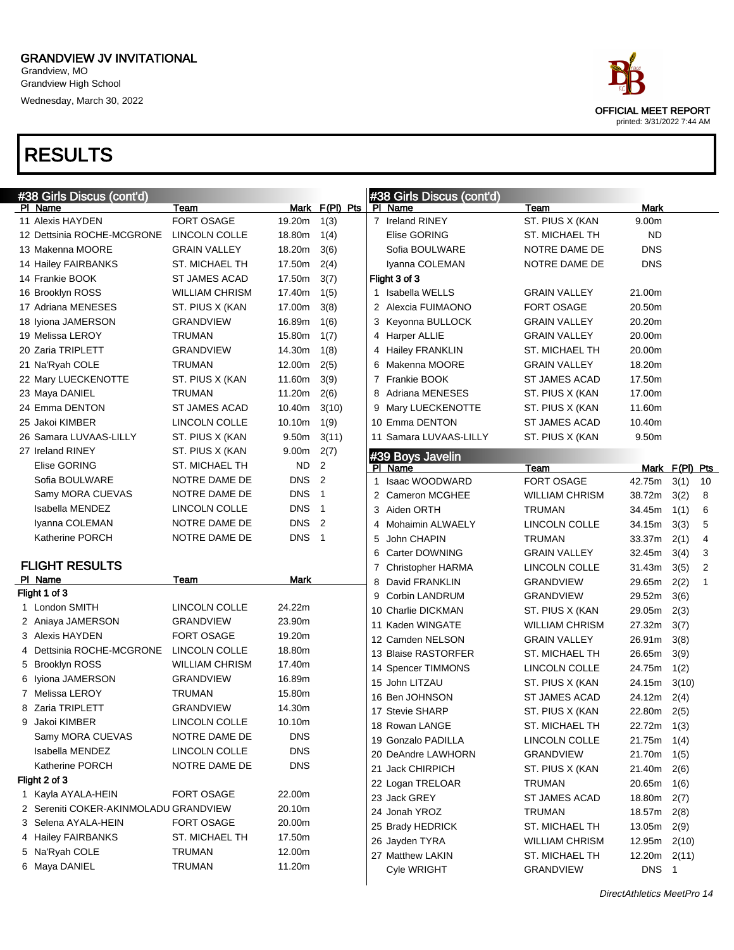Grandview, MO Grandview High School Wednesday, March 30, 2022

| race                                                      |
|-----------------------------------------------------------|
| <b>OFFICIAL MEET REPORT</b><br>printed: 3/31/2022 7:44 AM |

| #38 Girls Discus (cont'd)             |                       |            |                |   | #38 Girls Discus (cont'd) |                       |                  |                |                |
|---------------------------------------|-----------------------|------------|----------------|---|---------------------------|-----------------------|------------------|----------------|----------------|
| PI Name                               | Team                  |            | Mark F(PI) Pts |   | PI Name                   | Team                  | Mark             |                |                |
| 11 Alexis HAYDEN                      | <b>FORT OSAGE</b>     | 19.20m     | 1(3)           |   | 7 Ireland RINEY           | ST. PIUS X (KAN       | 9.00m            |                |                |
| 12 Dettsinia ROCHE-MCGRONE            | LINCOLN COLLE         | 18.80m     | 1(4)           |   | Elise GORING              | ST. MICHAEL TH        | <b>ND</b>        |                |                |
| 13 Makenna MOORE                      | <b>GRAIN VALLEY</b>   | 18.20m     | 3(6)           |   | Sofia BOULWARE            | NOTRE DAME DE         | <b>DNS</b>       |                |                |
| 14 Hailey FAIRBANKS                   | ST. MICHAEL TH        | 17.50m     | 2(4)           |   | Iyanna COLEMAN            | NOTRE DAME DE         | <b>DNS</b>       |                |                |
| 14 Frankie BOOK                       | <b>ST JAMES ACAD</b>  | 17.50m     | 3(7)           |   | Flight 3 of 3             |                       |                  |                |                |
| 16 Brooklyn ROSS                      | <b>WILLIAM CHRISM</b> | 17.40m     | 1(5)           |   | 1 Isabella WELLS          | <b>GRAIN VALLEY</b>   | 21.00m           |                |                |
| 17 Adriana MENESES                    | ST. PIUS X (KAN       | 17.00m     | 3(8)           |   | 2 Alexcia FUIMAONO        | <b>FORT OSAGE</b>     | 20.50m           |                |                |
| 18 Iyiona JAMERSON                    | GRANDVIEW             | 16.89m     | 1(6)           |   | 3 Keyonna BULLOCK         | <b>GRAIN VALLEY</b>   | 20.20m           |                |                |
| 19 Melissa LEROY                      | <b>TRUMAN</b>         | 15.80m     | 1(7)           |   | 4 Harper ALLIE            | <b>GRAIN VALLEY</b>   | 20.00m           |                |                |
| 20 Zaria TRIPLETT                     | <b>GRANDVIEW</b>      | 14.30m     | 1(8)           |   | 4 Hailey FRANKLIN         | ST. MICHAEL TH        | 20.00m           |                |                |
| 21 Na'Ryah COLE                       | <b>TRUMAN</b>         | 12.00m     | 2(5)           |   | 6 Makenna MOORE           | <b>GRAIN VALLEY</b>   | 18.20m           |                |                |
| 22 Mary LUECKENOTTE                   | ST. PIUS X (KAN       | 11.60m     | 3(9)           |   | 7 Frankie BOOK            | <b>ST JAMES ACAD</b>  | 17.50m           |                |                |
| 23 Maya DANIEL                        | <b>TRUMAN</b>         | 11.20m     | 2(6)           |   | 8 Adriana MENESES         | ST. PIUS X (KAN       | 17.00m           |                |                |
| 24 Emma DENTON                        | <b>ST JAMES ACAD</b>  | 10.40m     | 3(10)          |   | 9 Mary LUECKENOTTE        | ST. PIUS X (KAN       | 11.60m           |                |                |
| 25 Jakoi KIMBER                       | LINCOLN COLLE         | 10.10m     | 1(9)           |   | 10 Emma DENTON            | <b>ST JAMES ACAD</b>  | 10.40m           |                |                |
| 26 Samara LUVAAS-LILLY                | ST. PIUS X (KAN       | 9.50m      | 3(11)          |   | 11 Samara LUVAAS-LILLY    | ST. PIUS X (KAN       | 9.50m            |                |                |
| 27 Ireland RINEY                      | ST. PIUS X (KAN       | 9.00m      | 2(7)           |   | #39 Boys Javelin          |                       |                  |                |                |
| Elise GORING                          | ST. MICHAEL TH        | <b>ND</b>  | 2              |   | PI Name                   | Team                  |                  | Mark F(PI) Pts |                |
| Sofia BOULWARE                        | NOTRE DAME DE         | <b>DNS</b> | $\overline{2}$ |   | 1 Isaac WOODWARD          | <b>FORT OSAGE</b>     | 42.75m           | 3(1)           | 10             |
| Samy MORA CUEVAS                      | NOTRE DAME DE         | <b>DNS</b> | $\mathbf{1}$   |   | 2 Cameron MCGHEE          | <b>WILLIAM CHRISM</b> | 38.72m           | 3(2)           | 8              |
| Isabella MENDEZ                       | LINCOLN COLLE         | <b>DNS</b> | $\mathbf{1}$   |   | 3 Aiden ORTH              | <b>TRUMAN</b>         | 34.45m           | 1(1)           | 6              |
| Iyanna COLEMAN                        | NOTRE DAME DE         | <b>DNS</b> | $\overline{2}$ |   | 4 Mohaimin ALWAELY        | LINCOLN COLLE         | 34.15m           | 3(3)           | 5              |
| <b>Katherine PORCH</b>                | NOTRE DAME DE         | <b>DNS</b> | $\overline{1}$ | 5 | John CHAPIN               | <b>TRUMAN</b>         | 33.37m           | 2(1)           | $\overline{4}$ |
|                                       |                       |            |                |   | 6 Carter DOWNING          | <b>GRAIN VALLEY</b>   | 32.45m           | 3(4)           | 3              |
| <b>FLIGHT RESULTS</b>                 |                       |            |                |   | 7 Christopher HARMA       | LINCOLN COLLE         | 31.43m           | 3(5)           | 2              |
| PI Name                               | Team                  | Mark       |                | 8 | David FRANKLIN            | <b>GRANDVIEW</b>      | 29.65m           | 2(2)           | $\mathbf{1}$   |
| Flight 1 of 3                         |                       |            |                |   | 9 Corbin LANDRUM          | <b>GRANDVIEW</b>      | 29.52m           | 3(6)           |                |
| 1 London SMITH                        | LINCOLN COLLE         | 24.22m     |                |   | 10 Charlie DICKMAN        | ST. PIUS X (KAN       | 29.05m           | 2(3)           |                |
| 2 Aniaya JAMERSON                     | GRANDVIEW             | 23.90m     |                |   | 11 Kaden WINGATE          | <b>WILLIAM CHRISM</b> | 27.32m           | 3(7)           |                |
| 3 Alexis HAYDEN                       | <b>FORT OSAGE</b>     | 19.20m     |                |   | 12 Camden NELSON          | <b>GRAIN VALLEY</b>   | 26.91m           | 3(8)           |                |
| 4 Dettsinia ROCHE-MCGRONE             | LINCOLN COLLE         | 18.80m     |                |   | 13 Blaise RASTORFER       | <b>ST. MICHAEL TH</b> | 26.65m           | 3(9)           |                |
| 5 Brooklyn ROSS                       | <b>WILLIAM CHRISM</b> | 17.40m     |                |   | 14 Spencer TIMMONS        | LINCOLN COLLE         | 24.75m           | 1(2)           |                |
| 6 Iyiona JAMERSON                     | <b>GRANDVIEW</b>      | 16.89m     |                |   | 15 John LITZAU            | ST. PIUS X (KAN       | 24.15m           | 3(10)          |                |
| 7 Melissa LEROY                       | <b>TRUMAN</b>         | 15.80m     |                |   | 16 Ben JOHNSON            | <b>ST JAMES ACAD</b>  | 24.12m           | 2(4)           |                |
| 8 Zaria TRIPLETT                      | GRANDVIEW             | 14.30m     |                |   | 17 Stevie SHARP           | ST. PIUS X (KAN       | 22.80m           | 2(5)           |                |
| 9 Jakoi KIMBER                        | LINCOLN COLLE         | 10.10m     |                |   | 18 Rowan LANGE            | ST. MICHAEL TH        | 22.72m 1(3)      |                |                |
| Samy MORA CUEVAS                      | NOTRE DAME DE         | <b>DNS</b> |                |   | 19 Gonzalo PADILLA        | LINCOLN COLLE         | 21.75m           | 1(4)           |                |
| Isabella MENDEZ                       | LINCOLN COLLE         | <b>DNS</b> |                |   | 20 DeAndre LAWHORN        | <b>GRANDVIEW</b>      | 21.70m           | 1(5)           |                |
| Katherine PORCH                       | NOTRE DAME DE         | <b>DNS</b> |                |   | 21 Jack CHIRPICH          | ST. PIUS X (KAN       | 21.40m           | 2(6)           |                |
| Flight 2 of 3                         |                       |            |                |   | 22 Logan TRELOAR          | <b>TRUMAN</b>         | 20.65m           | 1(6)           |                |
| 1 Kayla AYALA-HEIN                    | <b>FORT OSAGE</b>     | 22.00m     |                |   | 23 Jack GREY              | <b>ST JAMES ACAD</b>  | 18.80m           | 2(7)           |                |
| 2 Sereniti COKER-AKINMOLADU GRANDVIEW |                       | 20.10m     |                |   | 24 Jonah YROZ             | <b>TRUMAN</b>         | 18.57m           | 2(8)           |                |
| 3 Selena AYALA-HEIN                   | <b>FORT OSAGE</b>     | 20.00m     |                |   | 25 Brady HEDRICK          | ST. MICHAEL TH        | 13.05m 2(9)      |                |                |
| 4 Hailey FAIRBANKS                    | ST. MICHAEL TH        | 17.50m     |                |   | 26 Jayden TYRA            | <b>WILLIAM CHRISM</b> | 12.95m 2(10)     |                |                |
| 5 Na'Ryah COLE                        | TRUMAN                | 12.00m     |                |   | 27 Matthew LAKIN          | ST. MICHAEL TH        | 12.20m 2(11)     |                |                |
| 6 Maya DANIEL                         | <b>TRUMAN</b>         | 11.20m     |                |   | Cyle WRIGHT               | <b>GRANDVIEW</b>      | DNS <sub>1</sub> |                |                |
|                                       |                       |            |                |   |                           |                       |                  |                |                |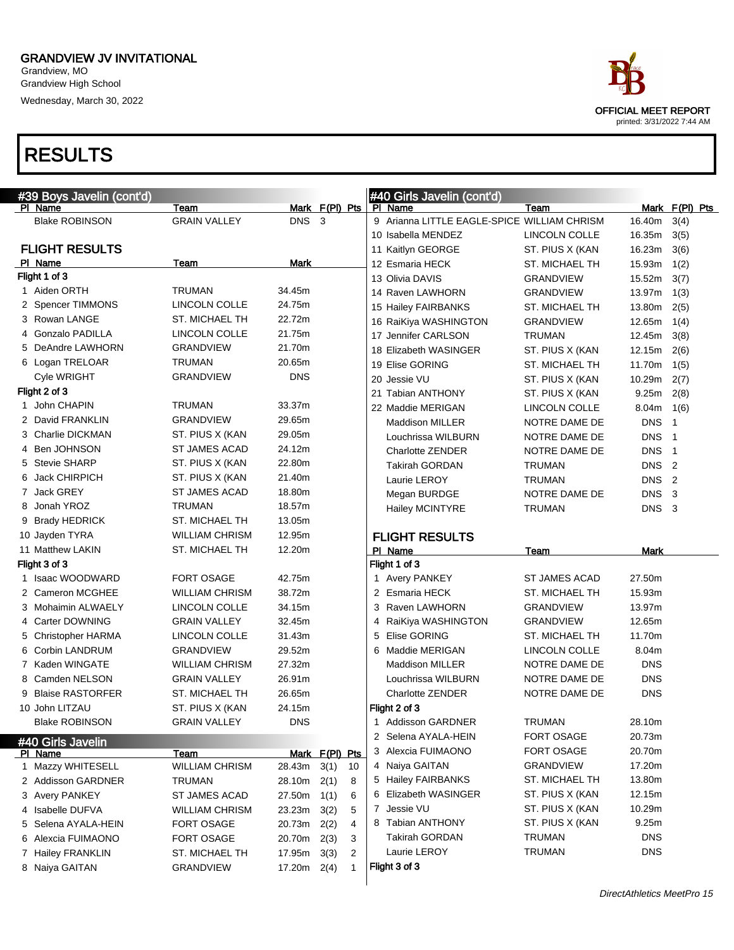Grandview, MO Grandview High School Wednesday, March 30, 2022

| race                                                      |
|-----------------------------------------------------------|
| <b>OFFICIAL MEET REPORT</b><br>printed: 3/31/2022 7:44 AM |
|                                                           |
|                                                           |

| #39 Boys Javelin (cont'd) |                       |                |                | #40 Girls Javelin (cont'd)                  |                       |                  |                |
|---------------------------|-----------------------|----------------|----------------|---------------------------------------------|-----------------------|------------------|----------------|
| PI Name                   | Team                  |                | Mark F(PI) Pts | PI Name                                     | Team                  |                  | Mark F(PI) Pts |
| <b>Blake ROBINSON</b>     | <b>GRAIN VALLEY</b>   | DNS 3          |                | 9 Arianna LITTLE EAGLE-SPICE WILLIAM CHRISM |                       | 16.40m           | 3(4)           |
|                           |                       |                |                | 10 Isabella MENDEZ                          | LINCOLN COLLE         | 16.35m           | 3(5)           |
| <b>FLIGHT RESULTS</b>     |                       |                |                | 11 Kaitlyn GEORGE                           | ST. PIUS X (KAN       | 16.23m           | 3(6)           |
| PI Name                   | Team                  | Mark           |                | 12 Esmaria HECK                             | ST. MICHAEL TH        | 15.93m           | 1(2)           |
| Flight 1 of 3             |                       |                |                | 13 Olivia DAVIS                             | <b>GRANDVIEW</b>      | 15.52m           | 3(7)           |
| 1 Aiden ORTH              | <b>TRUMAN</b>         | 34.45m         |                | 14 Raven LAWHORN                            | <b>GRANDVIEW</b>      | 13.97m           | 1(3)           |
| 2 Spencer TIMMONS         | LINCOLN COLLE         | 24.75m         |                | 15 Hailey FAIRBANKS                         | <b>ST. MICHAEL TH</b> | 13.80m           | 2(5)           |
| 3 Rowan LANGE             | <b>ST. MICHAEL TH</b> | 22.72m         |                | 16 RaiKiya WASHINGTON                       | <b>GRANDVIEW</b>      | 12.65m           | 1(4)           |
| 4 Gonzalo PADILLA         | LINCOLN COLLE         | 21.75m         |                | 17 Jennifer CARLSON                         | <b>TRUMAN</b>         | 12.45m           | 3(8)           |
| 5 DeAndre LAWHORN         | <b>GRANDVIEW</b>      | 21.70m         |                | 18 Elizabeth WASINGER                       | ST. PIUS X (KAN       | 12.15m           | 2(6)           |
| 6 Logan TRELOAR           | <b>TRUMAN</b>         | 20.65m         |                | 19 Elise GORING                             | ST. MICHAEL TH        | 11.70m           | 1(5)           |
| Cyle WRIGHT               | <b>GRANDVIEW</b>      | <b>DNS</b>     |                | 20 Jessie VU                                | ST. PIUS X (KAN       | 10.29m           | 2(7)           |
| Flight 2 of 3             |                       |                |                | 21 Tabian ANTHONY                           | ST. PIUS X (KAN       | 9.25m            | 2(8)           |
| 1 John CHAPIN             | TRUMAN                | 33.37m         |                | 22 Maddie MERIGAN                           | LINCOLN COLLE         | 8.04m            | 1(6)           |
| 2 David FRANKLIN          | <b>GRANDVIEW</b>      | 29.65m         |                | <b>Maddison MILLER</b>                      | NOTRE DAME DE         | <b>DNS</b>       | $\mathbf{1}$   |
| 3 Charlie DICKMAN         | ST. PIUS X (KAN       | 29.05m         |                | Louchrissa WILBURN                          | NOTRE DAME DE         | DNS <sub>1</sub> |                |
| 4 Ben JOHNSON             | <b>ST JAMES ACAD</b>  | 24.12m         |                | <b>Charlotte ZENDER</b>                     | NOTRE DAME DE         | DNS 1            |                |
| 5 Stevie SHARP            | ST. PIUS X (KAN       | 22.80m         |                | <b>Takirah GORDAN</b>                       | <b>TRUMAN</b>         | DNS <sub>2</sub> |                |
| 6 Jack CHIRPICH           | ST. PIUS X (KAN       | 21.40m         |                | Laurie LEROY                                | <b>TRUMAN</b>         | DNS <sub>2</sub> |                |
| 7 Jack GREY               | <b>ST JAMES ACAD</b>  | 18.80m         |                | Megan BURDGE                                | NOTRE DAME DE         | DNS <sub>3</sub> |                |
| 8 Jonah YROZ              | <b>TRUMAN</b>         | 18.57m         |                | Hailey MCINTYRE                             | <b>TRUMAN</b>         | DNS 3            |                |
| 9 Brady HEDRICK           | <b>ST. MICHAEL TH</b> | 13.05m         |                |                                             |                       |                  |                |
| 10 Jayden TYRA            | <b>WILLIAM CHRISM</b> | 12.95m         |                | <b>FLIGHT RESULTS</b>                       |                       |                  |                |
| 11 Matthew LAKIN          | <b>ST. MICHAEL TH</b> | 12.20m         |                | PI Name                                     | Team                  | Mark             |                |
| Flight 3 of 3             |                       |                |                | Flight 1 of 3                               |                       |                  |                |
| 1 Isaac WOODWARD          | <b>FORT OSAGE</b>     | 42.75m         |                | 1 Avery PANKEY                              | <b>ST JAMES ACAD</b>  | 27.50m           |                |
| 2 Cameron MCGHEE          | <b>WILLIAM CHRISM</b> | 38.72m         |                | 2 Esmaria HECK                              | ST. MICHAEL TH        | 15.93m           |                |
| 3 Mohaimin ALWAELY        | LINCOLN COLLE         | 34.15m         |                | 3 Raven LAWHORN                             | <b>GRANDVIEW</b>      | 13.97m           |                |
| 4 Carter DOWNING          | <b>GRAIN VALLEY</b>   | 32.45m         |                | RaiKiya WASHINGTON<br>4                     | <b>GRANDVIEW</b>      | 12.65m           |                |
| 5 Christopher HARMA       | LINCOLN COLLE         | 31.43m         |                | Elise GORING<br>5                           | ST. MICHAEL TH        | 11.70m           |                |
| 6 Corbin LANDRUM          | <b>GRANDVIEW</b>      | 29.52m         |                | Maddie MERIGAN<br>6                         | LINCOLN COLLE         | 8.04m            |                |
| 7 Kaden WINGATE           | <b>WILLIAM CHRISM</b> | 27.32m         |                | <b>Maddison MILLER</b>                      | NOTRE DAME DE         | <b>DNS</b>       |                |
| 8 Camden NELSON           | <b>GRAIN VALLEY</b>   | 26.91m         |                | Louchrissa WILBURN                          | NOTRE DAME DE         | <b>DNS</b>       |                |
| 9 Blaise RASTORFER        | ST. MICHAEL TH        | 26.65m         |                | Charlotte ZENDER                            | NOTRE DAME DE         | <b>DNS</b>       |                |
| 10 John LITZAU            | ST. PIUS X (KAN       | 24.15m         |                | Flight 2 of 3                               |                       |                  |                |
| <b>Blake ROBINSON</b>     | <b>GRAIN VALLEY</b>   | <b>DNS</b>     |                | 1 Addisson GARDNER                          | <b>TRUMAN</b>         | 28.10m           |                |
| #40 Girls Javelin         |                       |                |                | 2 Selena AYALA-HEIN                         | <b>FORT OSAGE</b>     | 20.73m           |                |
| PI Name                   | Team                  |                | Mark F(PI) Pts | 3 Alexcia FUIMAONO                          | FORT OSAGE            | 20.70m           |                |
| 1 Mazzy WHITESELL         | <b>WILLIAM CHRISM</b> | $28.43m$ 3(1)  | 10             | 4 Naiya GAITAN                              | <b>GRANDVIEW</b>      | 17.20m           |                |
| 2 Addisson GARDNER        | TRUMAN                | 28.10m         | 2(1)<br>8      | 5 Hailey FAIRBANKS                          | ST. MICHAEL TH        | 13.80m           |                |
| 3 Avery PANKEY            | ST JAMES ACAD         | 27.50m         | 1(1)<br>6      | 6 Elizabeth WASINGER                        | ST. PIUS X (KAN       | 12.15m           |                |
| 4 Isabelle DUFVA          | WILLIAM CHRISM        | 23.23m         | 3(2)<br>5      | 7 Jessie VU                                 | ST. PIUS X (KAN       | 10.29m           |                |
| 5 Selena AYALA-HEIN       | <b>FORT OSAGE</b>     | 20.73m         | 2(2)<br>4      | 8 Tabian ANTHONY                            | ST. PIUS X (KAN       | 9.25m            |                |
| 6 Alexcia FUIMAONO        | <b>FORT OSAGE</b>     | 20.70m         | 2(3)<br>3      | <b>Takirah GORDAN</b>                       | <b>TRUMAN</b>         | <b>DNS</b>       |                |
| 7 Hailey FRANKLIN         | ST. MICHAEL TH        | 17.95m         | 2<br>3(3)      | Laurie LEROY                                | <b>TRUMAN</b>         | <b>DNS</b>       |                |
| 8 Naiya GAITAN            | GRANDVIEW             | 17.20 $m$ 2(4) | 1              | Flight 3 of 3                               |                       |                  |                |